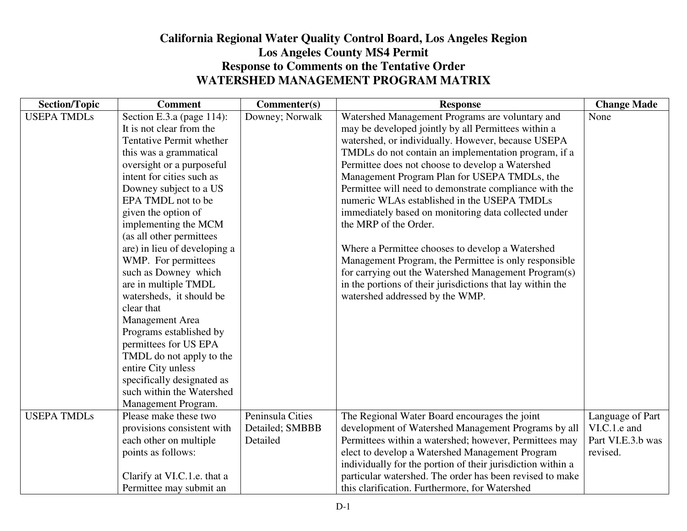## **California Regional Water Quality Control Board, Los Angeles RegionLos Angeles County MS4 Permit Response to Comments on the Tentative Order WATERSHED MANAGEMENT PROGRAM MATRIX**

| <b>Section/Topic</b> | <b>Comment</b>               | Commenter(s)     | <b>Response</b>                                             | <b>Change Made</b> |
|----------------------|------------------------------|------------------|-------------------------------------------------------------|--------------------|
| <b>USEPA TMDLs</b>   | Section E.3.a (page 114):    | Downey; Norwalk  | Watershed Management Programs are voluntary and             | None               |
|                      | It is not clear from the     |                  | may be developed jointly by all Permittees within a         |                    |
|                      | Tentative Permit whether     |                  | watershed, or individually. However, because USEPA          |                    |
|                      | this was a grammatical       |                  | TMDLs do not contain an implementation program, if a        |                    |
|                      | oversight or a purposeful    |                  | Permittee does not choose to develop a Watershed            |                    |
|                      | intent for cities such as    |                  | Management Program Plan for USEPA TMDLs, the                |                    |
|                      | Downey subject to a US       |                  | Permittee will need to demonstrate compliance with the      |                    |
|                      | EPA TMDL not to be           |                  | numeric WLAs established in the USEPA TMDLs                 |                    |
|                      | given the option of          |                  | immediately based on monitoring data collected under        |                    |
|                      | implementing the MCM         |                  | the MRP of the Order.                                       |                    |
|                      | (as all other permittees     |                  |                                                             |                    |
|                      | are) in lieu of developing a |                  | Where a Permittee chooses to develop a Watershed            |                    |
|                      | WMP. For permittees          |                  | Management Program, the Permittee is only responsible       |                    |
|                      | such as Downey which         |                  | for carrying out the Watershed Management Program(s)        |                    |
|                      | are in multiple TMDL         |                  | in the portions of their jurisdictions that lay within the  |                    |
|                      | watersheds, it should be     |                  | watershed addressed by the WMP.                             |                    |
|                      | clear that                   |                  |                                                             |                    |
|                      | Management Area              |                  |                                                             |                    |
|                      | Programs established by      |                  |                                                             |                    |
|                      | permittees for US EPA        |                  |                                                             |                    |
|                      | TMDL do not apply to the     |                  |                                                             |                    |
|                      | entire City unless           |                  |                                                             |                    |
|                      | specifically designated as   |                  |                                                             |                    |
|                      | such within the Watershed    |                  |                                                             |                    |
|                      | Management Program.          |                  |                                                             |                    |
| <b>USEPA TMDLs</b>   | Please make these two        | Peninsula Cities | The Regional Water Board encourages the joint               | Language of Part   |
|                      | provisions consistent with   | Detailed; SMBBB  | development of Watershed Management Programs by all         | VI.C.1.e and       |
|                      | each other on multiple       | Detailed         | Permittees within a watershed; however, Permittees may      | Part VI.E.3.b was  |
|                      | points as follows:           |                  | elect to develop a Watershed Management Program             | revised.           |
|                      |                              |                  | individually for the portion of their jurisdiction within a |                    |
|                      | Clarify at VI.C.1.e. that a  |                  | particular watershed. The order has been revised to make    |                    |
|                      | Permittee may submit an      |                  | this clarification. Furthermore, for Watershed              |                    |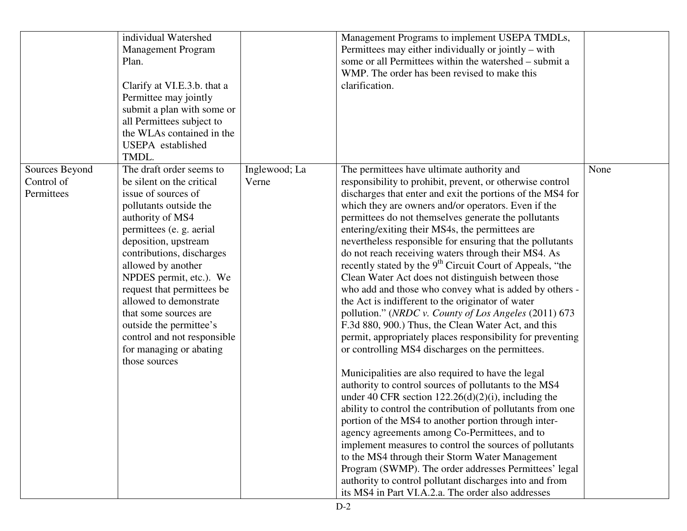|                                            | individual Watershed<br><b>Management Program</b><br>Plan.<br>Clarify at VI.E.3.b. that a<br>Permittee may jointly<br>submit a plan with some or<br>all Permittees subject to<br>the WLAs contained in the<br>USEPA established<br>TMDL.                                                                                                                                                                                                            |                        | Management Programs to implement USEPA TMDLs,<br>Permittees may either individually or jointly – with<br>some or all Permittees within the watershed – submit a<br>WMP. The order has been revised to make this<br>clarification.                                                                                                                                                                                                                                                                                                                                                                                                                                                                                                                                                                                                                                                                                                                                                                                                                                                                                                                                                                                                                                                                                                                                                                                                                                                                                                                                                   |      |
|--------------------------------------------|-----------------------------------------------------------------------------------------------------------------------------------------------------------------------------------------------------------------------------------------------------------------------------------------------------------------------------------------------------------------------------------------------------------------------------------------------------|------------------------|-------------------------------------------------------------------------------------------------------------------------------------------------------------------------------------------------------------------------------------------------------------------------------------------------------------------------------------------------------------------------------------------------------------------------------------------------------------------------------------------------------------------------------------------------------------------------------------------------------------------------------------------------------------------------------------------------------------------------------------------------------------------------------------------------------------------------------------------------------------------------------------------------------------------------------------------------------------------------------------------------------------------------------------------------------------------------------------------------------------------------------------------------------------------------------------------------------------------------------------------------------------------------------------------------------------------------------------------------------------------------------------------------------------------------------------------------------------------------------------------------------------------------------------------------------------------------------------|------|
| Sources Beyond<br>Control of<br>Permittees | The draft order seems to<br>be silent on the critical<br>issue of sources of<br>pollutants outside the<br>authority of MS4<br>permittees (e. g. aerial<br>deposition, upstream<br>contributions, discharges<br>allowed by another<br>NPDES permit, etc.). We<br>request that permittees be<br>allowed to demonstrate<br>that some sources are<br>outside the permittee's<br>control and not responsible<br>for managing or abating<br>those sources | Inglewood; La<br>Verne | The permittees have ultimate authority and<br>responsibility to prohibit, prevent, or otherwise control<br>discharges that enter and exit the portions of the MS4 for<br>which they are owners and/or operators. Even if the<br>permittees do not themselves generate the pollutants<br>entering/exiting their MS4s, the permittees are<br>nevertheless responsible for ensuring that the pollutants<br>do not reach receiving waters through their MS4. As<br>recently stated by the 9 <sup>th</sup> Circuit Court of Appeals, "the<br>Clean Water Act does not distinguish between those<br>who add and those who convey what is added by others -<br>the Act is indifferent to the originator of water<br>pollution." (NRDC v. County of Los Angeles (2011) 673<br>F.3d 880, 900.) Thus, the Clean Water Act, and this<br>permit, appropriately places responsibility for preventing<br>or controlling MS4 discharges on the permittees.<br>Municipalities are also required to have the legal<br>authority to control sources of pollutants to the MS4<br>under 40 CFR section $122.26(d)(2)(i)$ , including the<br>ability to control the contribution of pollutants from one<br>portion of the MS4 to another portion through inter-<br>agency agreements among Co-Permittees, and to<br>implement measures to control the sources of pollutants<br>to the MS4 through their Storm Water Management<br>Program (SWMP). The order addresses Permittees' legal<br>authority to control pollutant discharges into and from<br>its MS4 in Part VI.A.2.a. The order also addresses | None |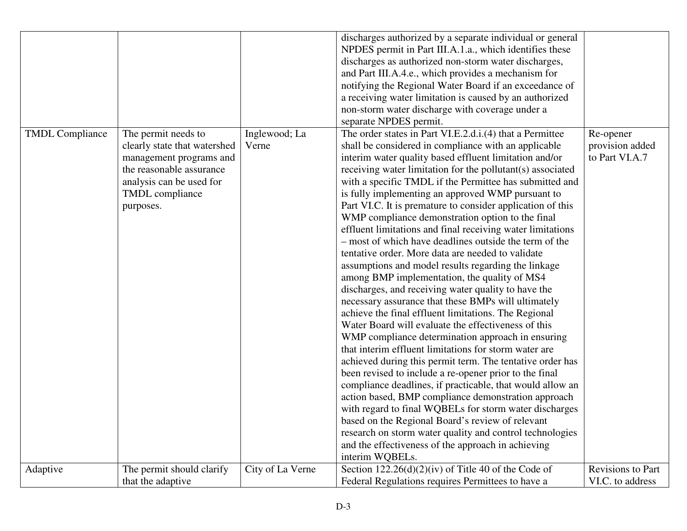|                        |                                                                                                                                                                        |                        | discharges authorized by a separate individual or general<br>NPDES permit in Part III.A.1.a., which identifies these<br>discharges as authorized non-storm water discharges,<br>and Part III.A.4.e., which provides a mechanism for<br>notifying the Regional Water Board if an exceedance of<br>a receiving water limitation is caused by an authorized<br>non-storm water discharge with coverage under a<br>separate NPDES permit.                                                                                                                                                                                                                                                                                                                                                                                                                                                                                                                                                                                                                                                                                                                                                                                                                                                                                                                                                                                                                                                                                                                                                                   |                                                |
|------------------------|------------------------------------------------------------------------------------------------------------------------------------------------------------------------|------------------------|---------------------------------------------------------------------------------------------------------------------------------------------------------------------------------------------------------------------------------------------------------------------------------------------------------------------------------------------------------------------------------------------------------------------------------------------------------------------------------------------------------------------------------------------------------------------------------------------------------------------------------------------------------------------------------------------------------------------------------------------------------------------------------------------------------------------------------------------------------------------------------------------------------------------------------------------------------------------------------------------------------------------------------------------------------------------------------------------------------------------------------------------------------------------------------------------------------------------------------------------------------------------------------------------------------------------------------------------------------------------------------------------------------------------------------------------------------------------------------------------------------------------------------------------------------------------------------------------------------|------------------------------------------------|
| <b>TMDL Compliance</b> | The permit needs to<br>clearly state that watershed<br>management programs and<br>the reasonable assurance<br>analysis can be used for<br>TMDL compliance<br>purposes. | Inglewood; La<br>Verne | The order states in Part VI.E.2.d.i.(4) that a Permittee<br>shall be considered in compliance with an applicable<br>interim water quality based effluent limitation and/or<br>receiving water limitation for the pollutant(s) associated<br>with a specific TMDL if the Permittee has submitted and<br>is fully implementing an approved WMP pursuant to<br>Part VI.C. It is premature to consider application of this<br>WMP compliance demonstration option to the final<br>effluent limitations and final receiving water limitations<br>- most of which have deadlines outside the term of the<br>tentative order. More data are needed to validate<br>assumptions and model results regarding the linkage<br>among BMP implementation, the quality of MS4<br>discharges, and receiving water quality to have the<br>necessary assurance that these BMPs will ultimately<br>achieve the final effluent limitations. The Regional<br>Water Board will evaluate the effectiveness of this<br>WMP compliance determination approach in ensuring<br>that interim effluent limitations for storm water are<br>achieved during this permit term. The tentative order has<br>been revised to include a re-opener prior to the final<br>compliance deadlines, if practicable, that would allow an<br>action based, BMP compliance demonstration approach<br>with regard to final WQBELs for storm water discharges<br>based on the Regional Board's review of relevant<br>research on storm water quality and control technologies<br>and the effectiveness of the approach in achieving<br>interim WQBELs. | Re-opener<br>provision added<br>to Part VI.A.7 |
| Adaptive               | The permit should clarify<br>that the adaptive                                                                                                                         | City of La Verne       | Section $122.26(d)(2)(iv)$ of Title 40 of the Code of<br>Federal Regulations requires Permittees to have a                                                                                                                                                                                                                                                                                                                                                                                                                                                                                                                                                                                                                                                                                                                                                                                                                                                                                                                                                                                                                                                                                                                                                                                                                                                                                                                                                                                                                                                                                              | <b>Revisions to Part</b><br>VI.C. to address   |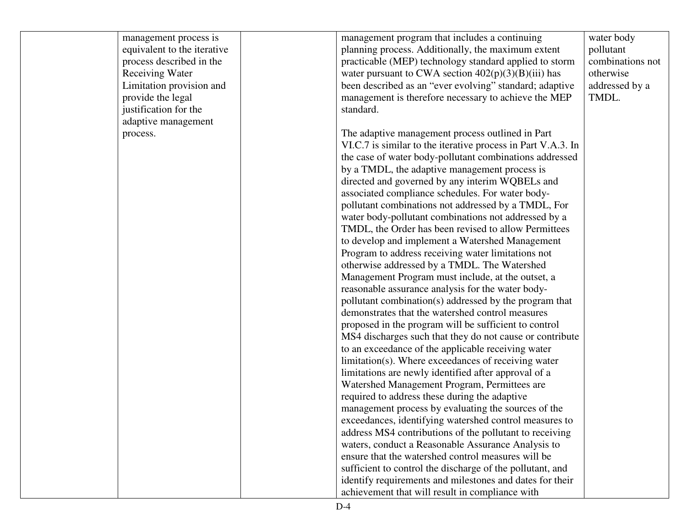| management process is       | management program that includes a continuing                | water body       |
|-----------------------------|--------------------------------------------------------------|------------------|
| equivalent to the iterative | planning process. Additionally, the maximum extent           | pollutant        |
| process described in the    | practicable (MEP) technology standard applied to storm       | combinations not |
| <b>Receiving Water</b>      | water pursuant to CWA section $402(p)(3)(B)(iii)$ has        | otherwise        |
| Limitation provision and    | been described as an "ever evolving" standard; adaptive      | addressed by a   |
| provide the legal           | management is therefore necessary to achieve the MEP         | TMDL.            |
| justification for the       | standard.                                                    |                  |
| adaptive management         |                                                              |                  |
| process.                    | The adaptive management process outlined in Part             |                  |
|                             | VI.C.7 is similar to the iterative process in Part V.A.3. In |                  |
|                             | the case of water body-pollutant combinations addressed      |                  |
|                             | by a TMDL, the adaptive management process is                |                  |
|                             | directed and governed by any interim WQBELs and              |                  |
|                             | associated compliance schedules. For water body-             |                  |
|                             | pollutant combinations not addressed by a TMDL, For          |                  |
|                             | water body-pollutant combinations not addressed by a         |                  |
|                             | TMDL, the Order has been revised to allow Permittees         |                  |
|                             | to develop and implement a Watershed Management              |                  |
|                             | Program to address receiving water limitations not           |                  |
|                             | otherwise addressed by a TMDL. The Watershed                 |                  |
|                             | Management Program must include, at the outset, a            |                  |
|                             | reasonable assurance analysis for the water body-            |                  |
|                             | pollutant combination(s) addressed by the program that       |                  |
|                             | demonstrates that the watershed control measures             |                  |
|                             | proposed in the program will be sufficient to control        |                  |
|                             | MS4 discharges such that they do not cause or contribute     |                  |
|                             | to an exceedance of the applicable receiving water           |                  |
|                             | limitation(s). Where exceedances of receiving water          |                  |
|                             | limitations are newly identified after approval of a         |                  |
|                             | Watershed Management Program, Permittees are                 |                  |
|                             | required to address these during the adaptive                |                  |
|                             | management process by evaluating the sources of the          |                  |
|                             | exceedances, identifying watershed control measures to       |                  |
|                             | address MS4 contributions of the pollutant to receiving      |                  |
|                             | waters, conduct a Reasonable Assurance Analysis to           |                  |
|                             | ensure that the watershed control measures will be           |                  |
|                             | sufficient to control the discharge of the pollutant, and    |                  |
|                             | identify requirements and milestones and dates for their     |                  |
|                             | achievement that will result in compliance with              |                  |
|                             |                                                              |                  |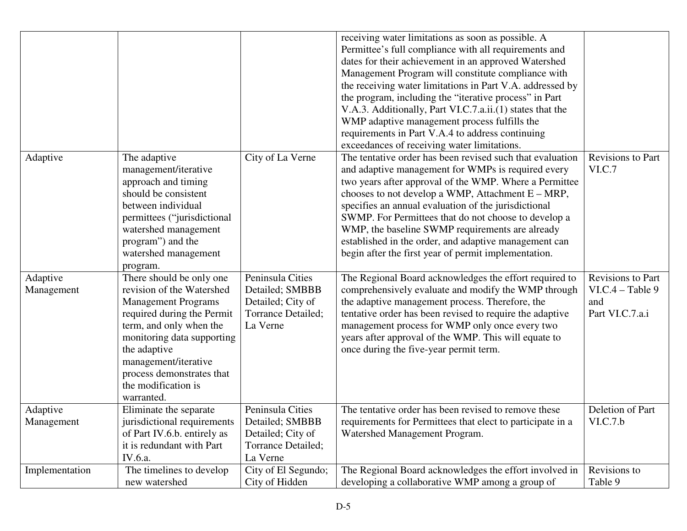| Adaptive               | The adaptive<br>management/iterative<br>approach and timing<br>should be consistent                                                                                                                                                                                                  | City of La Verne                                                                           | receiving water limitations as soon as possible. A<br>Permittee's full compliance with all requirements and<br>dates for their achievement in an approved Watershed<br>Management Program will constitute compliance with<br>the receiving water limitations in Part V.A. addressed by<br>the program, including the "iterative process" in Part<br>V.A.3. Additionally, Part VI.C.7.a.ii.(1) states that the<br>WMP adaptive management process fulfills the<br>requirements in Part V.A.4 to address continuing<br>exceedances of receiving water limitations.<br>The tentative order has been revised such that evaluation<br>and adaptive management for WMPs is required every<br>two years after approval of the WMP. Where a Permittee<br>chooses to not develop a WMP, Attachment $E - MRP$ , | <b>Revisions to Part</b><br>VI.C.7                                |
|------------------------|--------------------------------------------------------------------------------------------------------------------------------------------------------------------------------------------------------------------------------------------------------------------------------------|--------------------------------------------------------------------------------------------|-------------------------------------------------------------------------------------------------------------------------------------------------------------------------------------------------------------------------------------------------------------------------------------------------------------------------------------------------------------------------------------------------------------------------------------------------------------------------------------------------------------------------------------------------------------------------------------------------------------------------------------------------------------------------------------------------------------------------------------------------------------------------------------------------------|-------------------------------------------------------------------|
|                        | between individual<br>permittees ("jurisdictional<br>watershed management<br>program") and the<br>watershed management<br>program.                                                                                                                                                   |                                                                                            | specifies an annual evaluation of the jurisdictional<br>SWMP. For Permittees that do not choose to develop a<br>WMP, the baseline SWMP requirements are already<br>established in the order, and adaptive management can<br>begin after the first year of permit implementation.                                                                                                                                                                                                                                                                                                                                                                                                                                                                                                                      |                                                                   |
| Adaptive<br>Management | There should be only one<br>revision of the Watershed<br><b>Management Programs</b><br>required during the Permit<br>term, and only when the<br>monitoring data supporting<br>the adaptive<br>management/iterative<br>process demonstrates that<br>the modification is<br>warranted. | Peninsula Cities<br>Detailed; SMBBB<br>Detailed; City of<br>Torrance Detailed;<br>La Verne | The Regional Board acknowledges the effort required to<br>comprehensively evaluate and modify the WMP through<br>the adaptive management process. Therefore, the<br>tentative order has been revised to require the adaptive<br>management process for WMP only once every two<br>years after approval of the WMP. This will equate to<br>once during the five-year permit term.                                                                                                                                                                                                                                                                                                                                                                                                                      | Revisions to Part<br>$VI.C.4 - Table 9$<br>and<br>Part VI.C.7.a.i |
| Adaptive<br>Management | Eliminate the separate<br>jurisdictional requirements<br>of Part IV.6.b. entirely as<br>it is redundant with Part<br>IV.6.a.                                                                                                                                                         | Peninsula Cities<br>Detailed; SMBBB<br>Detailed; City of<br>Torrance Detailed;<br>La Verne | The tentative order has been revised to remove these<br>requirements for Permittees that elect to participate in a<br>Watershed Management Program.                                                                                                                                                                                                                                                                                                                                                                                                                                                                                                                                                                                                                                                   | Deletion of Part<br>VI.C.7.b                                      |
| Implementation         | The timelines to develop<br>new watershed                                                                                                                                                                                                                                            | City of El Segundo;<br>City of Hidden                                                      | The Regional Board acknowledges the effort involved in<br>developing a collaborative WMP among a group of                                                                                                                                                                                                                                                                                                                                                                                                                                                                                                                                                                                                                                                                                             | Revisions to<br>Table 9                                           |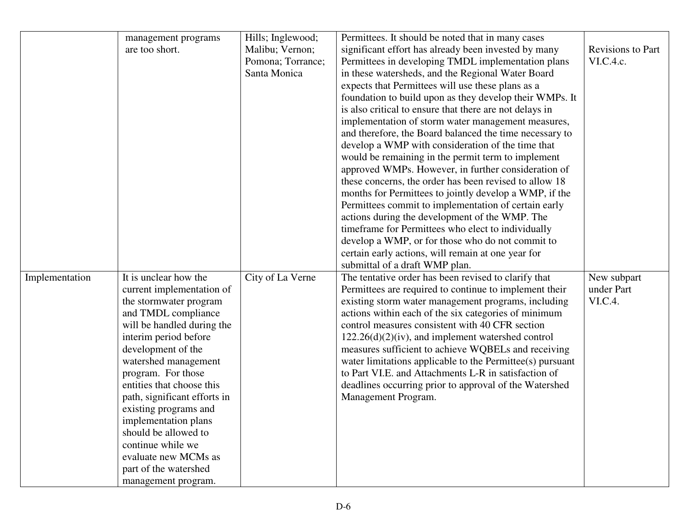|                | management programs          | Hills; Inglewood; | Permittees. It should be noted that in many cases         |                   |
|----------------|------------------------------|-------------------|-----------------------------------------------------------|-------------------|
|                | are too short.               | Malibu; Vernon;   | significant effort has already been invested by many      | Revisions to Part |
|                |                              | Pomona; Torrance; | Permittees in developing TMDL implementation plans        | VI.C.4.c.         |
|                |                              | Santa Monica      | in these watersheds, and the Regional Water Board         |                   |
|                |                              |                   | expects that Permittees will use these plans as a         |                   |
|                |                              |                   | foundation to build upon as they develop their WMPs. It   |                   |
|                |                              |                   | is also critical to ensure that there are not delays in   |                   |
|                |                              |                   | implementation of storm water management measures,        |                   |
|                |                              |                   | and therefore, the Board balanced the time necessary to   |                   |
|                |                              |                   | develop a WMP with consideration of the time that         |                   |
|                |                              |                   | would be remaining in the permit term to implement        |                   |
|                |                              |                   | approved WMPs. However, in further consideration of       |                   |
|                |                              |                   | these concerns, the order has been revised to allow 18    |                   |
|                |                              |                   | months for Permittees to jointly develop a WMP, if the    |                   |
|                |                              |                   | Permittees commit to implementation of certain early      |                   |
|                |                              |                   | actions during the development of the WMP. The            |                   |
|                |                              |                   | timeframe for Permittees who elect to individually        |                   |
|                |                              |                   | develop a WMP, or for those who do not commit to          |                   |
|                |                              |                   | certain early actions, will remain at one year for        |                   |
|                |                              |                   | submittal of a draft WMP plan.                            |                   |
| Implementation | It is unclear how the        | City of La Verne  | The tentative order has been revised to clarify that      | New subpart       |
|                | current implementation of    |                   | Permittees are required to continue to implement their    | under Part        |
|                | the stormwater program       |                   | existing storm water management programs, including       | VI.C.4.           |
|                | and TMDL compliance          |                   | actions within each of the six categories of minimum      |                   |
|                | will be handled during the   |                   | control measures consistent with 40 CFR section           |                   |
|                | interim period before        |                   | $122.26(d)(2)(iv)$ , and implement watershed control      |                   |
|                | development of the           |                   | measures sufficient to achieve WQBELs and receiving       |                   |
|                | watershed management         |                   | water limitations applicable to the Permittee(s) pursuant |                   |
|                | program. For those           |                   | to Part VI.E. and Attachments L-R in satisfaction of      |                   |
|                | entities that choose this    |                   | deadlines occurring prior to approval of the Watershed    |                   |
|                | path, significant efforts in |                   | Management Program.                                       |                   |
|                | existing programs and        |                   |                                                           |                   |
|                | implementation plans         |                   |                                                           |                   |
|                | should be allowed to         |                   |                                                           |                   |
|                | continue while we            |                   |                                                           |                   |
|                | evaluate new MCMs as         |                   |                                                           |                   |
|                | part of the watershed        |                   |                                                           |                   |
|                | management program.          |                   |                                                           |                   |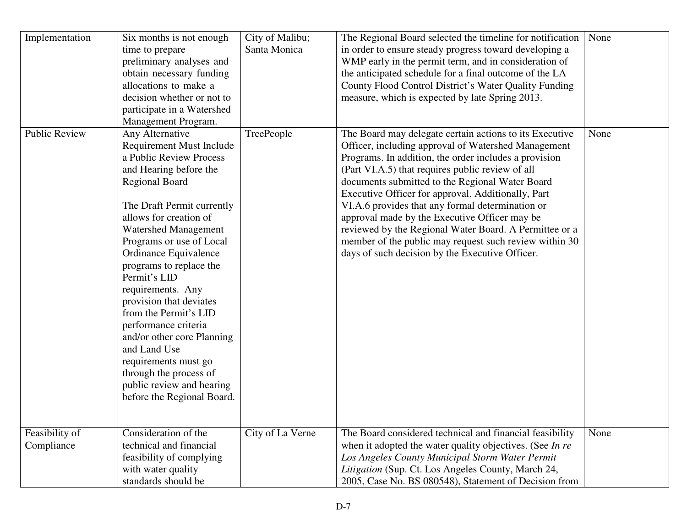| Implementation               | Six months is not enough<br>time to prepare<br>preliminary analyses and<br>obtain necessary funding<br>allocations to make a<br>decision whether or not to<br>participate in a Watershed<br>Management Program.                                                                                                                                                                                                                                                                                                                                                                     | City of Malibu;<br>Santa Monica | The Regional Board selected the timeline for notification<br>in order to ensure steady progress toward developing a<br>WMP early in the permit term, and in consideration of<br>the anticipated schedule for a final outcome of the LA<br>County Flood Control District's Water Quality Funding<br>measure, which is expected by late Spring 2013.                                                                                                                                                                                                                                                               | None |
|------------------------------|-------------------------------------------------------------------------------------------------------------------------------------------------------------------------------------------------------------------------------------------------------------------------------------------------------------------------------------------------------------------------------------------------------------------------------------------------------------------------------------------------------------------------------------------------------------------------------------|---------------------------------|------------------------------------------------------------------------------------------------------------------------------------------------------------------------------------------------------------------------------------------------------------------------------------------------------------------------------------------------------------------------------------------------------------------------------------------------------------------------------------------------------------------------------------------------------------------------------------------------------------------|------|
| <b>Public Review</b>         | Any Alternative<br><b>Requirement Must Include</b><br>a Public Review Process<br>and Hearing before the<br><b>Regional Board</b><br>The Draft Permit currently<br>allows for creation of<br><b>Watershed Management</b><br>Programs or use of Local<br>Ordinance Equivalence<br>programs to replace the<br>Permit's LID<br>requirements. Any<br>provision that deviates<br>from the Permit's LID<br>performance criteria<br>and/or other core Planning<br>and Land Use<br>requirements must go<br>through the process of<br>public review and hearing<br>before the Regional Board. | TreePeople                      | The Board may delegate certain actions to its Executive<br>Officer, including approval of Watershed Management<br>Programs. In addition, the order includes a provision<br>(Part VI.A.5) that requires public review of all<br>documents submitted to the Regional Water Board<br>Executive Officer for approval. Additionally, Part<br>VI.A.6 provides that any formal determination or<br>approval made by the Executive Officer may be<br>reviewed by the Regional Water Board. A Permittee or a<br>member of the public may request such review within 30<br>days of such decision by the Executive Officer. | None |
| Feasibility of<br>Compliance | Consideration of the<br>technical and financial<br>feasibility of complying<br>with water quality<br>standards should be                                                                                                                                                                                                                                                                                                                                                                                                                                                            | City of La Verne                | The Board considered technical and financial feasibility<br>when it adopted the water quality objectives. (See In re<br>Los Angeles County Municipal Storm Water Permit<br>Litigation (Sup. Ct. Los Angeles County, March 24,<br>2005, Case No. BS 080548), Statement of Decision from                                                                                                                                                                                                                                                                                                                           | None |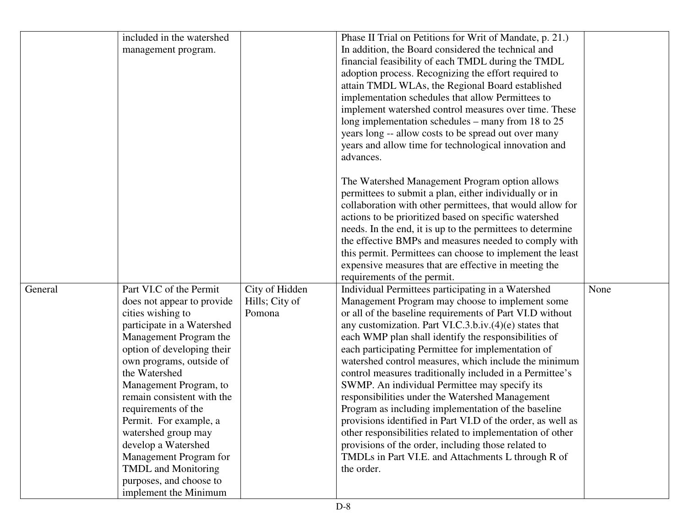|         | included in the watershed                     |                | Phase II Trial on Petitions for Writ of Mandate, p. 21.)                                                  |      |
|---------|-----------------------------------------------|----------------|-----------------------------------------------------------------------------------------------------------|------|
|         | management program.                           |                | In addition, the Board considered the technical and                                                       |      |
|         |                                               |                | financial feasibility of each TMDL during the TMDL                                                        |      |
|         |                                               |                | adoption process. Recognizing the effort required to                                                      |      |
|         |                                               |                | attain TMDL WLAs, the Regional Board established                                                          |      |
|         |                                               |                | implementation schedules that allow Permittees to                                                         |      |
|         |                                               |                | implement watershed control measures over time. These                                                     |      |
|         |                                               |                | long implementation schedules – many from 18 to 25                                                        |      |
|         |                                               |                | years long -- allow costs to be spread out over many                                                      |      |
|         |                                               |                | years and allow time for technological innovation and                                                     |      |
|         |                                               |                | advances.                                                                                                 |      |
|         |                                               |                | The Watershed Management Program option allows                                                            |      |
|         |                                               |                | permittees to submit a plan, either individually or in                                                    |      |
|         |                                               |                | collaboration with other permittees, that would allow for                                                 |      |
|         |                                               |                | actions to be prioritized based on specific watershed                                                     |      |
|         |                                               |                | needs. In the end, it is up to the permittees to determine                                                |      |
|         |                                               |                | the effective BMPs and measures needed to comply with                                                     |      |
|         |                                               |                | this permit. Permittees can choose to implement the least                                                 |      |
|         |                                               |                | expensive measures that are effective in meeting the                                                      |      |
|         |                                               |                | requirements of the permit.                                                                               |      |
| General | Part VI.C of the Permit                       | City of Hidden | Individual Permittees participating in a Watershed                                                        | None |
|         | does not appear to provide                    | Hills; City of | Management Program may choose to implement some                                                           |      |
|         | cities wishing to                             | Pomona         | or all of the baseline requirements of Part VI.D without                                                  |      |
|         | participate in a Watershed                    |                | any customization. Part VI.C.3.b.iv. $(4)(e)$ states that                                                 |      |
|         | Management Program the                        |                | each WMP plan shall identify the responsibilities of                                                      |      |
|         | option of developing their                    |                | each participating Permittee for implementation of                                                        |      |
|         | own programs, outside of                      |                | watershed control measures, which include the minimum                                                     |      |
|         | the Watershed                                 |                | control measures traditionally included in a Permittee's                                                  |      |
|         | Management Program, to                        |                | SWMP. An individual Permittee may specify its                                                             |      |
|         | remain consistent with the                    |                | responsibilities under the Watershed Management                                                           |      |
|         | requirements of the                           |                | Program as including implementation of the baseline                                                       |      |
|         | Permit. For example, a                        |                | provisions identified in Part VI.D of the order, as well as                                               |      |
|         | watershed group may                           |                | other responsibilities related to implementation of other                                                 |      |
|         | develop a Watershed                           |                | provisions of the order, including those related to<br>TMDLs in Part VI.E. and Attachments L through R of |      |
|         | Management Program for<br>TMDL and Monitoring |                | the order.                                                                                                |      |
|         | purposes, and choose to                       |                |                                                                                                           |      |
|         | implement the Minimum                         |                |                                                                                                           |      |
|         |                                               |                |                                                                                                           |      |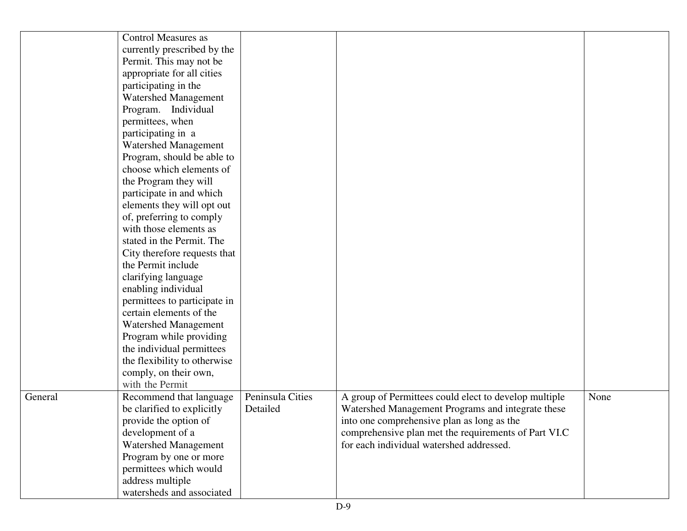|         | <b>Control Measures as</b>   |                  |                                                       |      |
|---------|------------------------------|------------------|-------------------------------------------------------|------|
|         | currently prescribed by the  |                  |                                                       |      |
|         | Permit. This may not be      |                  |                                                       |      |
|         | appropriate for all cities   |                  |                                                       |      |
|         | participating in the         |                  |                                                       |      |
|         | <b>Watershed Management</b>  |                  |                                                       |      |
|         | Program. Individual          |                  |                                                       |      |
|         | permittees, when             |                  |                                                       |      |
|         | participating in a           |                  |                                                       |      |
|         | <b>Watershed Management</b>  |                  |                                                       |      |
|         | Program, should be able to   |                  |                                                       |      |
|         | choose which elements of     |                  |                                                       |      |
|         | the Program they will        |                  |                                                       |      |
|         | participate in and which     |                  |                                                       |      |
|         | elements they will opt out   |                  |                                                       |      |
|         | of, preferring to comply     |                  |                                                       |      |
|         | with those elements as       |                  |                                                       |      |
|         | stated in the Permit. The    |                  |                                                       |      |
|         | City therefore requests that |                  |                                                       |      |
|         | the Permit include           |                  |                                                       |      |
|         | clarifying language          |                  |                                                       |      |
|         | enabling individual          |                  |                                                       |      |
|         | permittees to participate in |                  |                                                       |      |
|         | certain elements of the      |                  |                                                       |      |
|         | <b>Watershed Management</b>  |                  |                                                       |      |
|         | Program while providing      |                  |                                                       |      |
|         | the individual permittees    |                  |                                                       |      |
|         | the flexibility to otherwise |                  |                                                       |      |
|         | comply, on their own,        |                  |                                                       |      |
|         | with the Permit              |                  |                                                       |      |
| General | Recommend that language      | Peninsula Cities | A group of Permittees could elect to develop multiple | None |
|         | be clarified to explicitly   | Detailed         | Watershed Management Programs and integrate these     |      |
|         | provide the option of        |                  | into one comprehensive plan as long as the            |      |
|         | development of a             |                  | comprehensive plan met the requirements of Part VI.C  |      |
|         | <b>Watershed Management</b>  |                  | for each individual watershed addressed.              |      |
|         | Program by one or more       |                  |                                                       |      |
|         | permittees which would       |                  |                                                       |      |
|         | address multiple             |                  |                                                       |      |
|         | watersheds and associated    |                  |                                                       |      |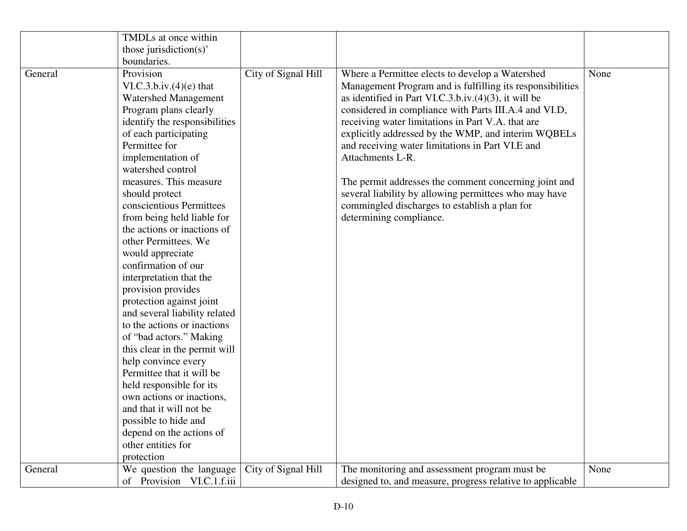|                      | TMDLs at once within          |                     |                                                           |      |
|----------------------|-------------------------------|---------------------|-----------------------------------------------------------|------|
|                      | those jurisdiction(s)'        |                     |                                                           |      |
|                      | boundaries.                   |                     |                                                           |      |
| General              | Provision                     | City of Signal Hill | Where a Permittee elects to develop a Watershed           | None |
|                      | VI.C.3.b.iv.(4)(e) that       |                     | Management Program and is fulfilling its responsibilities |      |
|                      | <b>Watershed Management</b>   |                     | as identified in Part VI.C.3.b.iv. $(4)(3)$ , it will be  |      |
|                      | Program plans clearly         |                     | considered in compliance with Parts III.A.4 and VI.D,     |      |
|                      | identify the responsibilities |                     | receiving water limitations in Part V.A. that are         |      |
|                      | of each participating         |                     | explicitly addressed by the WMP, and interim WQBELs       |      |
|                      | Permittee for                 |                     | and receiving water limitations in Part VI.E and          |      |
|                      | implementation of             |                     | Attachments L-R.                                          |      |
|                      | watershed control             |                     |                                                           |      |
|                      | measures. This measure        |                     | The permit addresses the comment concerning joint and     |      |
|                      | should protect                |                     | several liability by allowing permittees who may have     |      |
|                      | conscientious Permittees      |                     | commingled discharges to establish a plan for             |      |
|                      | from being held liable for    |                     | determining compliance.                                   |      |
| other Permittees. We | the actions or inactions of   |                     |                                                           |      |
|                      |                               |                     |                                                           |      |
|                      | would appreciate              |                     |                                                           |      |
|                      | confirmation of our           |                     |                                                           |      |
|                      | interpretation that the       |                     |                                                           |      |
|                      | provision provides            |                     |                                                           |      |
|                      | protection against joint      |                     |                                                           |      |
|                      | and several liability related |                     |                                                           |      |
|                      | to the actions or inactions   |                     |                                                           |      |
|                      | of "bad actors." Making       |                     |                                                           |      |
|                      | this clear in the permit will |                     |                                                           |      |
|                      | help convince every           |                     |                                                           |      |
|                      | Permittee that it will be     |                     |                                                           |      |
|                      | held responsible for its      |                     |                                                           |      |
|                      | own actions or inactions,     |                     |                                                           |      |
|                      | and that it will not be       |                     |                                                           |      |
|                      | possible to hide and          |                     |                                                           |      |
|                      | depend on the actions of      |                     |                                                           |      |
|                      | other entities for            |                     |                                                           |      |
|                      | protection                    |                     |                                                           |      |
| General              | We question the language      | City of Signal Hill | The monitoring and assessment program must be             | None |
|                      | of Provision VI.C.1.f.iii     |                     | designed to, and measure, progress relative to applicable |      |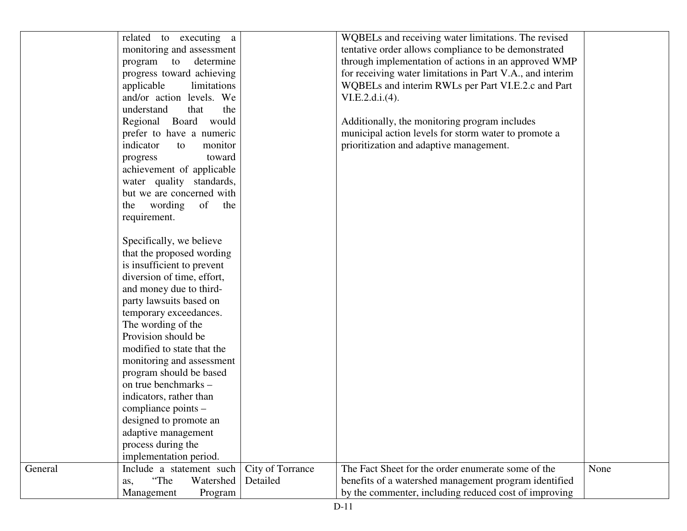|         | related to executing a     |                  | WQBELs and receiving water limitations. The revised       |      |
|---------|----------------------------|------------------|-----------------------------------------------------------|------|
|         | monitoring and assessment  |                  | tentative order allows compliance to be demonstrated      |      |
|         | to<br>determine<br>program |                  | through implementation of actions in an approved WMP      |      |
|         | progress toward achieving  |                  | for receiving water limitations in Part V.A., and interim |      |
|         | applicable<br>limitations  |                  | WQBELs and interim RWLs per Part VI.E.2.c and Part        |      |
|         | and/or action levels. We   |                  | VI.E.2.d.i.(4).                                           |      |
|         | understand<br>the<br>that  |                  |                                                           |      |
|         | Regional Board would       |                  | Additionally, the monitoring program includes             |      |
|         | prefer to have a numeric   |                  | municipal action levels for storm water to promote a      |      |
|         | indicator<br>monitor<br>to |                  | prioritization and adaptive management.                   |      |
|         | toward<br>progress         |                  |                                                           |      |
|         | achievement of applicable  |                  |                                                           |      |
|         | water quality standards,   |                  |                                                           |      |
|         | but we are concerned with  |                  |                                                           |      |
|         | the wording<br>of the      |                  |                                                           |      |
|         | requirement.               |                  |                                                           |      |
|         |                            |                  |                                                           |      |
|         | Specifically, we believe   |                  |                                                           |      |
|         | that the proposed wording  |                  |                                                           |      |
|         | is insufficient to prevent |                  |                                                           |      |
|         | diversion of time, effort, |                  |                                                           |      |
|         | and money due to third-    |                  |                                                           |      |
|         | party lawsuits based on    |                  |                                                           |      |
|         | temporary exceedances.     |                  |                                                           |      |
|         | The wording of the         |                  |                                                           |      |
|         | Provision should be        |                  |                                                           |      |
|         | modified to state that the |                  |                                                           |      |
|         | monitoring and assessment  |                  |                                                           |      |
|         | program should be based    |                  |                                                           |      |
|         | on true benchmarks -       |                  |                                                           |      |
|         | indicators, rather than    |                  |                                                           |      |
|         | compliance points -        |                  |                                                           |      |
|         | designed to promote an     |                  |                                                           |      |
|         | adaptive management        |                  |                                                           |      |
|         | process during the         |                  |                                                           |      |
|         | implementation period.     |                  |                                                           |      |
| General | Include a statement such   | City of Torrance | The Fact Sheet for the order enumerate some of the        | None |
|         | "The<br>Watershed          | Detailed         | benefits of a watershed management program identified     |      |
|         | as,                        |                  | by the commenter, including reduced cost of improving     |      |
|         | Management<br>Program      |                  |                                                           |      |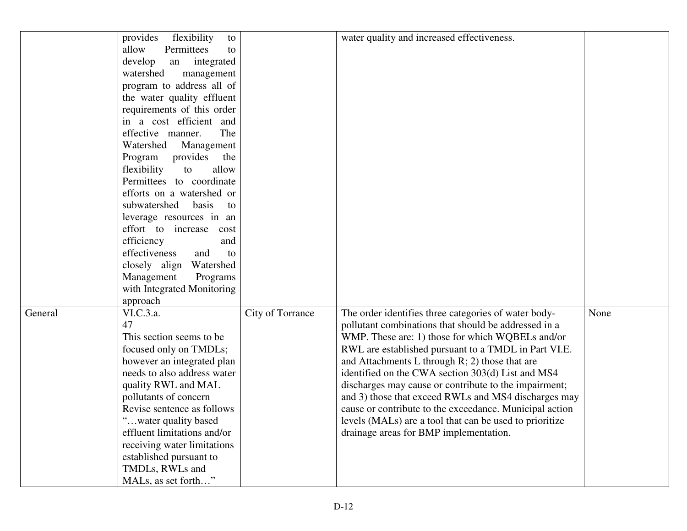|         | provides flexibility<br>to  |                  | water quality and increased effectiveness.              |      |
|---------|-----------------------------|------------------|---------------------------------------------------------|------|
|         | Permittees<br>allow<br>to   |                  |                                                         |      |
|         | develop<br>an integrated    |                  |                                                         |      |
|         | watershed<br>management     |                  |                                                         |      |
|         | program to address all of   |                  |                                                         |      |
|         | the water quality effluent  |                  |                                                         |      |
|         | requirements of this order  |                  |                                                         |      |
|         | in a cost efficient and     |                  |                                                         |      |
|         | The<br>effective manner.    |                  |                                                         |      |
|         | Watershed<br>Management     |                  |                                                         |      |
|         | Program provides the        |                  |                                                         |      |
|         | flexibility<br>to<br>allow  |                  |                                                         |      |
|         | Permittees to coordinate    |                  |                                                         |      |
|         | efforts on a watershed or   |                  |                                                         |      |
|         | subwatershed basis<br>to    |                  |                                                         |      |
|         | leverage resources in an    |                  |                                                         |      |
|         | effort to increase<br>cost  |                  |                                                         |      |
|         | efficiency<br>and           |                  |                                                         |      |
|         | effectiveness<br>and<br>to  |                  |                                                         |      |
|         | closely align Watershed     |                  |                                                         |      |
|         | Management<br>Programs      |                  |                                                         |      |
|         | with Integrated Monitoring  |                  |                                                         |      |
|         | approach                    |                  |                                                         |      |
| General | VI.C.3.a.                   | City of Torrance | The order identifies three categories of water body-    | None |
|         | 47                          |                  | pollutant combinations that should be addressed in a    |      |
|         | This section seems to be    |                  | WMP. These are: 1) those for which WQBELs and/or        |      |
|         | focused only on TMDLs;      |                  | RWL are established pursuant to a TMDL in Part VI.E.    |      |
|         | however an integrated plan  |                  | and Attachments L through $R$ ; 2) those that are       |      |
|         | needs to also address water |                  | identified on the CWA section 303(d) List and MS4       |      |
|         | quality RWL and MAL         |                  | discharges may cause or contribute to the impairment;   |      |
|         | pollutants of concern       |                  | and 3) those that exceed RWLs and MS4 discharges may    |      |
|         | Revise sentence as follows  |                  | cause or contribute to the exceedance. Municipal action |      |
|         | "water quality based        |                  | levels (MALs) are a tool that can be used to prioritize |      |
|         | effluent limitations and/or |                  | drainage areas for BMP implementation.                  |      |
|         | receiving water limitations |                  |                                                         |      |
|         | established pursuant to     |                  |                                                         |      |
|         | TMDLs, RWLs and             |                  |                                                         |      |
|         | MALs, as set forth"         |                  |                                                         |      |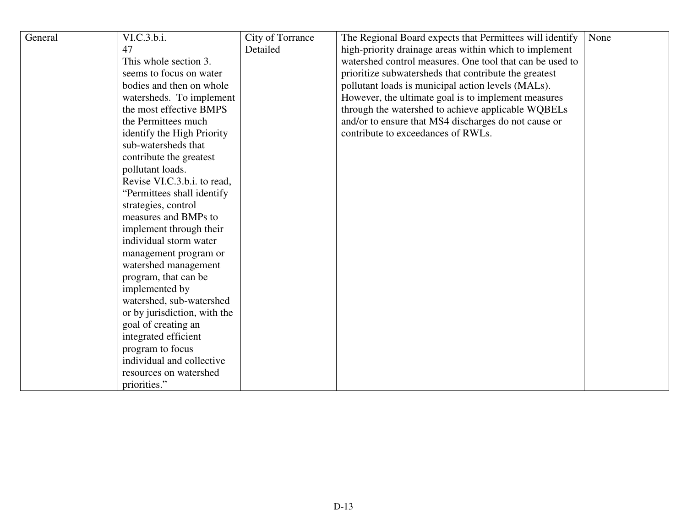| General | VI.C.3.b.i.                  | City of Torrance | The Regional Board expects that Permittees will identify | None |
|---------|------------------------------|------------------|----------------------------------------------------------|------|
|         | 47                           | Detailed         | high-priority drainage areas within which to implement   |      |
|         | This whole section 3.        |                  | watershed control measures. One tool that can be used to |      |
|         | seems to focus on water      |                  | prioritize subwatersheds that contribute the greatest    |      |
|         | bodies and then on whole     |                  | pollutant loads is municipal action levels (MALs).       |      |
|         | watersheds. To implement     |                  | However, the ultimate goal is to implement measures      |      |
|         | the most effective BMPS      |                  | through the watershed to achieve applicable WQBELs       |      |
|         | the Permittees much          |                  | and/or to ensure that MS4 discharges do not cause or     |      |
|         | identify the High Priority   |                  | contribute to exceedances of RWLs.                       |      |
|         | sub-watersheds that          |                  |                                                          |      |
|         | contribute the greatest      |                  |                                                          |      |
|         | pollutant loads.             |                  |                                                          |      |
|         | Revise VI.C.3.b.i. to read,  |                  |                                                          |      |
|         | "Permittees shall identify"  |                  |                                                          |      |
|         | strategies, control          |                  |                                                          |      |
|         | measures and BMPs to         |                  |                                                          |      |
|         | implement through their      |                  |                                                          |      |
|         | individual storm water       |                  |                                                          |      |
|         | management program or        |                  |                                                          |      |
|         | watershed management         |                  |                                                          |      |
|         | program, that can be         |                  |                                                          |      |
|         | implemented by               |                  |                                                          |      |
|         | watershed, sub-watershed     |                  |                                                          |      |
|         | or by jurisdiction, with the |                  |                                                          |      |
|         | goal of creating an          |                  |                                                          |      |
|         | integrated efficient         |                  |                                                          |      |
|         | program to focus             |                  |                                                          |      |
|         | individual and collective    |                  |                                                          |      |
|         | resources on watershed       |                  |                                                          |      |
|         | priorities."                 |                  |                                                          |      |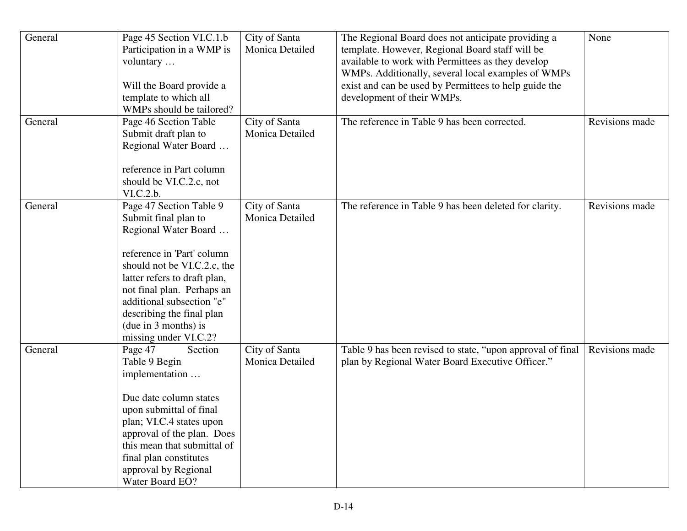| General | Page 45 Section VI.C.1.b<br>Participation in a WMP is<br>voluntary<br>Will the Board provide a<br>template to which all<br>WMPs should be tailored?                                                                                                                                                           | City of Santa<br>Monica Detailed        | The Regional Board does not anticipate providing a<br>template. However, Regional Board staff will be<br>available to work with Permittees as they develop<br>WMPs. Additionally, several local examples of WMPs<br>exist and can be used by Permittees to help guide the<br>development of their WMPs. | None           |
|---------|---------------------------------------------------------------------------------------------------------------------------------------------------------------------------------------------------------------------------------------------------------------------------------------------------------------|-----------------------------------------|---------------------------------------------------------------------------------------------------------------------------------------------------------------------------------------------------------------------------------------------------------------------------------------------------------|----------------|
| General | Page 46 Section Table<br>Submit draft plan to<br>Regional Water Board<br>reference in Part column<br>should be VI.C.2.c, not<br>VI.C.2.b.                                                                                                                                                                     | City of Santa<br><b>Monica Detailed</b> | The reference in Table 9 has been corrected.                                                                                                                                                                                                                                                            | Revisions made |
| General | Page 47 Section Table 9<br>Submit final plan to<br>Regional Water Board<br>reference in 'Part' column<br>should not be VI.C.2.c, the<br>latter refers to draft plan,<br>not final plan. Perhaps an<br>additional subsection "e"<br>describing the final plan<br>(due in 3 months) is<br>missing under VI.C.2? | City of Santa<br>Monica Detailed        | The reference in Table 9 has been deleted for clarity.                                                                                                                                                                                                                                                  | Revisions made |
| General | Page 47<br>Section<br>Table 9 Begin<br>implementation<br>Due date column states<br>upon submittal of final<br>plan; VI.C.4 states upon<br>approval of the plan. Does<br>this mean that submittal of<br>final plan constitutes<br>approval by Regional<br>Water Board EO?                                      | City of Santa<br>Monica Detailed        | Table 9 has been revised to state, "upon approval of final<br>plan by Regional Water Board Executive Officer."                                                                                                                                                                                          | Revisions made |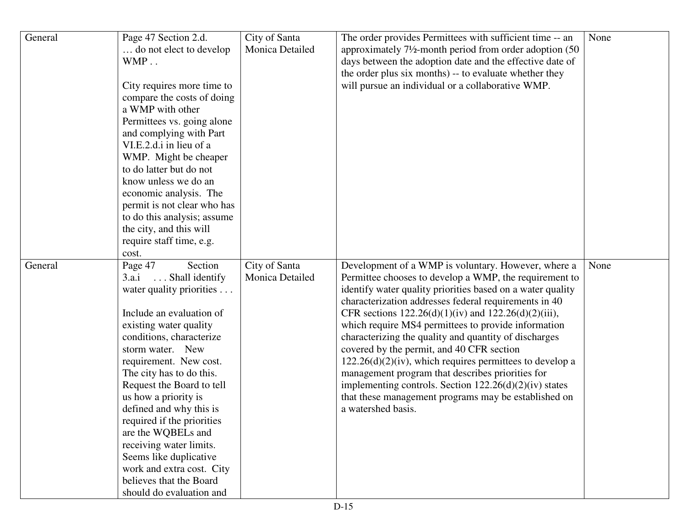| General | Page 47 Section 2.d.<br>do not elect to develop<br>WMP                                                                                                                                                                                                                                                                                                                                                                                                                                                                               | City of Santa<br>Monica Detailed | The order provides Permittees with sufficient time -- an<br>approximately 7 <sup>1</sup> / <sub>2</sub> -month period from order adoption (50)<br>days between the adoption date and the effective date of                                                                                                                                                                                                                                                                                                                                                                                                                                                                                                                  | None |
|---------|--------------------------------------------------------------------------------------------------------------------------------------------------------------------------------------------------------------------------------------------------------------------------------------------------------------------------------------------------------------------------------------------------------------------------------------------------------------------------------------------------------------------------------------|----------------------------------|-----------------------------------------------------------------------------------------------------------------------------------------------------------------------------------------------------------------------------------------------------------------------------------------------------------------------------------------------------------------------------------------------------------------------------------------------------------------------------------------------------------------------------------------------------------------------------------------------------------------------------------------------------------------------------------------------------------------------------|------|
|         | City requires more time to<br>compare the costs of doing<br>a WMP with other<br>Permittees vs. going alone<br>and complying with Part<br>VI.E.2.d.i in lieu of a<br>WMP. Might be cheaper<br>to do latter but do not<br>know unless we do an<br>economic analysis. The<br>permit is not clear who has<br>to do this analysis; assume<br>the city, and this will<br>require staff time, e.g.                                                                                                                                          |                                  | the order plus six months) -- to evaluate whether they<br>will pursue an individual or a collaborative WMP.                                                                                                                                                                                                                                                                                                                                                                                                                                                                                                                                                                                                                 |      |
| General | cost.<br>Page 47<br>Section<br>$\ldots$ Shall identify<br>3.a.i<br>water quality priorities<br>Include an evaluation of<br>existing water quality<br>conditions, characterize<br>storm water. New<br>requirement. New cost.<br>The city has to do this.<br>Request the Board to tell<br>us how a priority is<br>defined and why this is<br>required if the priorities<br>are the WQBELs and<br>receiving water limits.<br>Seems like duplicative<br>work and extra cost. City<br>believes that the Board<br>should do evaluation and | City of Santa<br>Monica Detailed | Development of a WMP is voluntary. However, where a<br>Permittee chooses to develop a WMP, the requirement to<br>identify water quality priorities based on a water quality<br>characterization addresses federal requirements in 40<br>CFR sections $122.26(d)(1)(iv)$ and $122.26(d)(2)(iii)$ ,<br>which require MS4 permittees to provide information<br>characterizing the quality and quantity of discharges<br>covered by the permit, and 40 CFR section<br>$122.26(d)(2)(iv)$ , which requires permittees to develop a<br>management program that describes priorities for<br>implementing controls. Section $122.26(d)(2)(iv)$ states<br>that these management programs may be established on<br>a watershed basis. | None |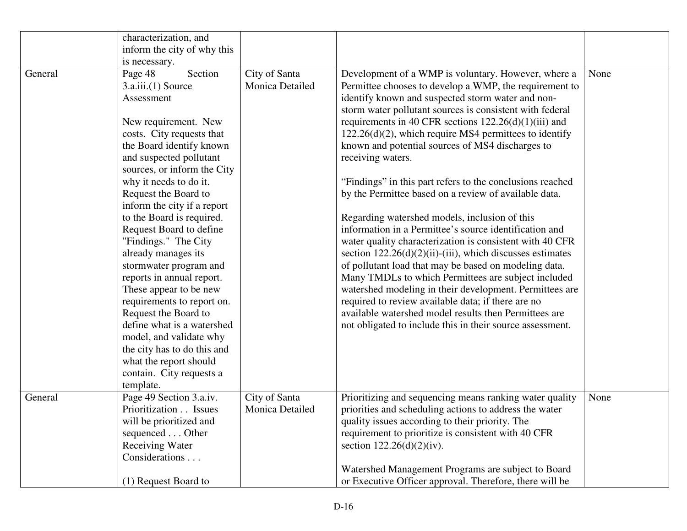|         | characterization, and<br>inform the city of why this                                                                                                                                                                                                                                                                                                                                                                                                                                                                                                                                                                                                                                        |                                         |                                                                                                                                                                                                                                                                                                                                                                                                                                                                                                                                                                                                                                                                                                                                                                                                                                                                                                                                                                                                                                                                                                                                                  |      |
|---------|---------------------------------------------------------------------------------------------------------------------------------------------------------------------------------------------------------------------------------------------------------------------------------------------------------------------------------------------------------------------------------------------------------------------------------------------------------------------------------------------------------------------------------------------------------------------------------------------------------------------------------------------------------------------------------------------|-----------------------------------------|--------------------------------------------------------------------------------------------------------------------------------------------------------------------------------------------------------------------------------------------------------------------------------------------------------------------------------------------------------------------------------------------------------------------------------------------------------------------------------------------------------------------------------------------------------------------------------------------------------------------------------------------------------------------------------------------------------------------------------------------------------------------------------------------------------------------------------------------------------------------------------------------------------------------------------------------------------------------------------------------------------------------------------------------------------------------------------------------------------------------------------------------------|------|
|         | is necessary.                                                                                                                                                                                                                                                                                                                                                                                                                                                                                                                                                                                                                                                                               |                                         |                                                                                                                                                                                                                                                                                                                                                                                                                                                                                                                                                                                                                                                                                                                                                                                                                                                                                                                                                                                                                                                                                                                                                  |      |
| General | Section<br>Page 48<br>3.a.iii.(1) Source<br>Assessment<br>New requirement. New<br>costs. City requests that<br>the Board identify known<br>and suspected pollutant<br>sources, or inform the City<br>why it needs to do it.<br>Request the Board to<br>inform the city if a report<br>to the Board is required.<br>Request Board to define<br>"Findings." The City<br>already manages its<br>stormwater program and<br>reports in annual report.<br>These appear to be new<br>requirements to report on.<br>Request the Board to<br>define what is a watershed<br>model, and validate why<br>the city has to do this and<br>what the report should<br>contain. City requests a<br>template. | City of Santa<br><b>Monica Detailed</b> | Development of a WMP is voluntary. However, where a<br>Permittee chooses to develop a WMP, the requirement to<br>identify known and suspected storm water and non-<br>storm water pollutant sources is consistent with federal<br>requirements in 40 CFR sections $122.26(d)(1)(iii)$ and<br>122.26(d)(2), which require MS4 permittees to identify<br>known and potential sources of MS4 discharges to<br>receiving waters.<br>"Findings" in this part refers to the conclusions reached<br>by the Permittee based on a review of available data.<br>Regarding watershed models, inclusion of this<br>information in a Permittee's source identification and<br>water quality characterization is consistent with 40 CFR<br>section $122.26(d)(2)(ii)$ -(iii), which discusses estimates<br>of pollutant load that may be based on modeling data.<br>Many TMDLs to which Permittees are subject included<br>watershed modeling in their development. Permittees are<br>required to review available data; if there are no<br>available watershed model results then Permittees are<br>not obligated to include this in their source assessment. | None |
| General | Page 49 Section 3.a.iv.<br>Prioritization Issues<br>will be prioritized and<br>sequenced Other<br><b>Receiving Water</b><br>Considerations                                                                                                                                                                                                                                                                                                                                                                                                                                                                                                                                                  | City of Santa<br>Monica Detailed        | Prioritizing and sequencing means ranking water quality<br>priorities and scheduling actions to address the water<br>quality issues according to their priority. The<br>requirement to prioritize is consistent with 40 CFR<br>section $122.26(d)(2)(iv)$ .                                                                                                                                                                                                                                                                                                                                                                                                                                                                                                                                                                                                                                                                                                                                                                                                                                                                                      | None |
|         | (1) Request Board to                                                                                                                                                                                                                                                                                                                                                                                                                                                                                                                                                                                                                                                                        |                                         | Watershed Management Programs are subject to Board<br>or Executive Officer approval. Therefore, there will be                                                                                                                                                                                                                                                                                                                                                                                                                                                                                                                                                                                                                                                                                                                                                                                                                                                                                                                                                                                                                                    |      |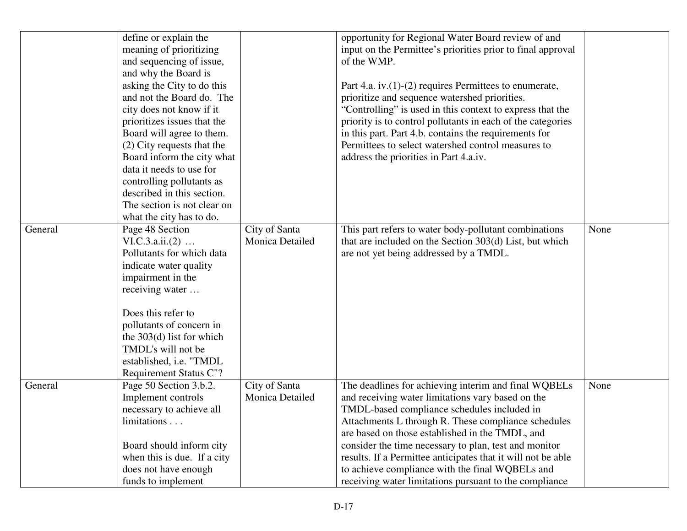|         | define or explain the<br>meaning of prioritizing<br>and sequencing of issue,<br>and why the Board is<br>asking the City to do this<br>and not the Board do. The<br>city does not know if it<br>prioritizes issues that the<br>Board will agree to them.<br>(2) City requests that the<br>Board inform the city what<br>data it needs to use for<br>controlling pollutants as<br>described in this section.<br>The section is not clear on<br>what the city has to do. |                                  | opportunity for Regional Water Board review of and<br>input on the Permittee's priorities prior to final approval<br>of the WMP.<br>Part 4.a. iv. $(1)-(2)$ requires Permittees to enumerate,<br>prioritize and sequence watershed priorities.<br>"Controlling" is used in this context to express that the<br>priority is to control pollutants in each of the categories<br>in this part. Part 4.b. contains the requirements for<br>Permittees to select watershed control measures to<br>address the priorities in Part 4.a.iv. |      |
|---------|-----------------------------------------------------------------------------------------------------------------------------------------------------------------------------------------------------------------------------------------------------------------------------------------------------------------------------------------------------------------------------------------------------------------------------------------------------------------------|----------------------------------|-------------------------------------------------------------------------------------------------------------------------------------------------------------------------------------------------------------------------------------------------------------------------------------------------------------------------------------------------------------------------------------------------------------------------------------------------------------------------------------------------------------------------------------|------|
| General | Page 48 Section<br>VI.C.3.a.ii. (2)<br>Pollutants for which data<br>indicate water quality<br>impairment in the<br>receiving water<br>Does this refer to<br>pollutants of concern in<br>the $303(d)$ list for which<br>TMDL's will not be<br>established, i.e. "TMDL<br>Requirement Status C"?                                                                                                                                                                        | City of Santa<br>Monica Detailed | This part refers to water body-pollutant combinations<br>that are included on the Section 303(d) List, but which<br>are not yet being addressed by a TMDL.                                                                                                                                                                                                                                                                                                                                                                          | None |
| General | Page 50 Section 3.b.2.<br>Implement controls<br>necessary to achieve all<br>$limitations \dots$<br>Board should inform city<br>when this is due. If a city<br>does not have enough<br>funds to implement                                                                                                                                                                                                                                                              | City of Santa<br>Monica Detailed | The deadlines for achieving interim and final WQBELs<br>and receiving water limitations vary based on the<br>TMDL-based compliance schedules included in<br>Attachments L through R. These compliance schedules<br>are based on those established in the TMDL, and<br>consider the time necessary to plan, test and monitor<br>results. If a Permittee anticipates that it will not be able<br>to achieve compliance with the final WQBELs and<br>receiving water limitations pursuant to the compliance                            | None |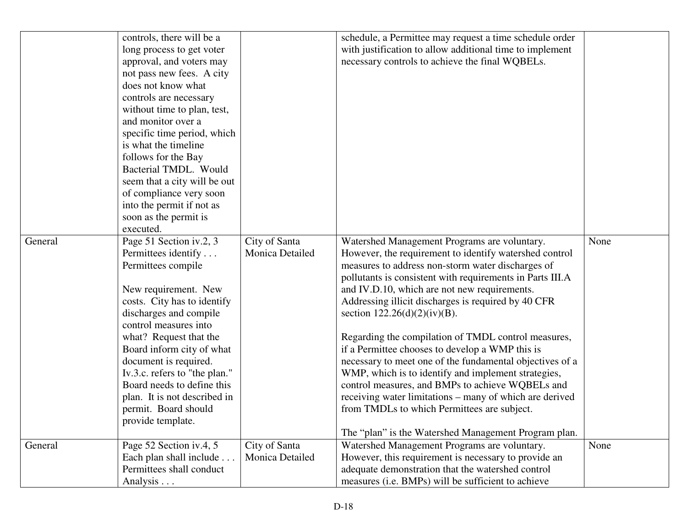| General | controls, there will be a<br>long process to get voter<br>approval, and voters may<br>not pass new fees. A city<br>does not know what<br>controls are necessary<br>without time to plan, test,<br>and monitor over a<br>specific time period, which<br>is what the timeline<br>follows for the Bay<br>Bacterial TMDL. Would<br>seem that a city will be out<br>of compliance very soon<br>into the permit if not as<br>soon as the permit is<br>executed.<br>Page 51 Section iv.2, 3 | City of Santa                    | schedule, a Permittee may request a time schedule order<br>with justification to allow additional time to implement<br>necessary controls to achieve the final WQBELs.<br>Watershed Management Programs are voluntary.                                                                                                                                                                                                                                                                                                                                                                                                                                                                                                                                                | None |
|---------|--------------------------------------------------------------------------------------------------------------------------------------------------------------------------------------------------------------------------------------------------------------------------------------------------------------------------------------------------------------------------------------------------------------------------------------------------------------------------------------|----------------------------------|-----------------------------------------------------------------------------------------------------------------------------------------------------------------------------------------------------------------------------------------------------------------------------------------------------------------------------------------------------------------------------------------------------------------------------------------------------------------------------------------------------------------------------------------------------------------------------------------------------------------------------------------------------------------------------------------------------------------------------------------------------------------------|------|
|         | Permittees identify<br>Permittees compile<br>New requirement. New<br>costs. City has to identify<br>discharges and compile<br>control measures into<br>what? Request that the<br>Board inform city of what<br>document is required.<br>Iv.3.c. refers to "the plan."<br>Board needs to define this<br>plan. It is not described in<br>permit. Board should<br>provide template.                                                                                                      | Monica Detailed                  | However, the requirement to identify watershed control<br>measures to address non-storm water discharges of<br>pollutants is consistent with requirements in Parts III.A<br>and IV.D.10, which are not new requirements.<br>Addressing illicit discharges is required by 40 CFR<br>section $122.26(d)(2)(iv)(B)$ .<br>Regarding the compilation of TMDL control measures,<br>if a Permittee chooses to develop a WMP this is<br>necessary to meet one of the fundamental objectives of a<br>WMP, which is to identify and implement strategies,<br>control measures, and BMPs to achieve WQBELs and<br>receiving water limitations – many of which are derived<br>from TMDLs to which Permittees are subject.<br>The "plan" is the Watershed Management Program plan. |      |
| General | Page 52 Section iv.4, 5<br>Each plan shall include<br>Permittees shall conduct                                                                                                                                                                                                                                                                                                                                                                                                       | City of Santa<br>Monica Detailed | Watershed Management Programs are voluntary.<br>However, this requirement is necessary to provide an<br>adequate demonstration that the watershed control                                                                                                                                                                                                                                                                                                                                                                                                                                                                                                                                                                                                             | None |
|         | Analysis                                                                                                                                                                                                                                                                                                                                                                                                                                                                             |                                  | measures (i.e. BMPs) will be sufficient to achieve                                                                                                                                                                                                                                                                                                                                                                                                                                                                                                                                                                                                                                                                                                                    |      |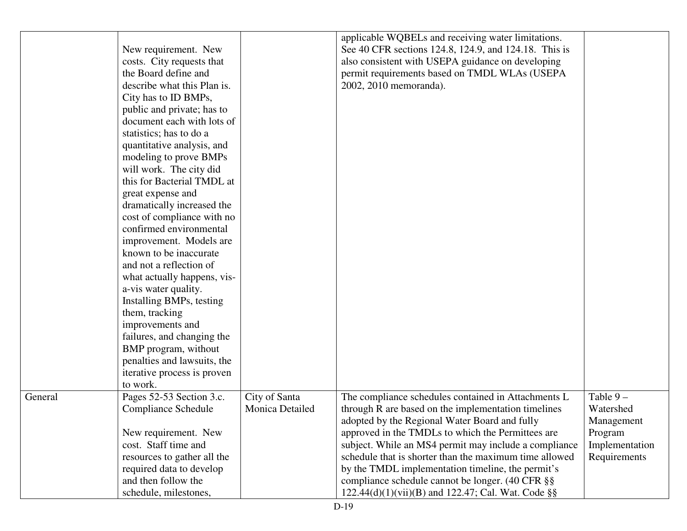|         | New requirement. New<br>costs. City requests that<br>the Board define and<br>describe what this Plan is.<br>City has to ID BMPs,<br>public and private; has to<br>document each with lots of<br>statistics; has to do a<br>quantitative analysis, and<br>modeling to prove BMPs<br>will work. The city did<br>this for Bacterial TMDL at<br>great expense and<br>dramatically increased the<br>cost of compliance with no<br>confirmed environmental<br>improvement. Models are<br>known to be inaccurate<br>and not a reflection of<br>what actually happens, vis-<br>a-vis water quality.<br>Installing BMPs, testing<br>them, tracking<br>improvements and<br>failures, and changing the<br>BMP program, without<br>penalties and lawsuits, the<br>iterative process is proven<br>to work. |                                         | applicable WQBELs and receiving water limitations.<br>See 40 CFR sections 124.8, 124.9, and 124.18. This is<br>also consistent with USEPA guidance on developing<br>permit requirements based on TMDL WLAs (USEPA<br>2002, 2010 memoranda). |                                       |
|---------|-----------------------------------------------------------------------------------------------------------------------------------------------------------------------------------------------------------------------------------------------------------------------------------------------------------------------------------------------------------------------------------------------------------------------------------------------------------------------------------------------------------------------------------------------------------------------------------------------------------------------------------------------------------------------------------------------------------------------------------------------------------------------------------------------|-----------------------------------------|---------------------------------------------------------------------------------------------------------------------------------------------------------------------------------------------------------------------------------------------|---------------------------------------|
| General | Pages 52-53 Section 3.c.<br><b>Compliance Schedule</b>                                                                                                                                                                                                                                                                                                                                                                                                                                                                                                                                                                                                                                                                                                                                        | City of Santa<br><b>Monica Detailed</b> | The compliance schedules contained in Attachments L<br>through R are based on the implementation timelines<br>adopted by the Regional Water Board and fully                                                                                 | Table $9-$<br>Watershed<br>Management |
|         | New requirement. New                                                                                                                                                                                                                                                                                                                                                                                                                                                                                                                                                                                                                                                                                                                                                                          |                                         | approved in the TMDLs to which the Permittees are                                                                                                                                                                                           | Program                               |
|         | cost. Staff time and                                                                                                                                                                                                                                                                                                                                                                                                                                                                                                                                                                                                                                                                                                                                                                          |                                         | subject. While an MS4 permit may include a compliance                                                                                                                                                                                       | Implementation                        |
|         | resources to gather all the                                                                                                                                                                                                                                                                                                                                                                                                                                                                                                                                                                                                                                                                                                                                                                   |                                         | schedule that is shorter than the maximum time allowed                                                                                                                                                                                      | Requirements                          |
|         | required data to develop                                                                                                                                                                                                                                                                                                                                                                                                                                                                                                                                                                                                                                                                                                                                                                      |                                         | by the TMDL implementation timeline, the permit's                                                                                                                                                                                           |                                       |
|         | and then follow the                                                                                                                                                                                                                                                                                                                                                                                                                                                                                                                                                                                                                                                                                                                                                                           |                                         | compliance schedule cannot be longer. (40 CFR §§                                                                                                                                                                                            |                                       |
|         | schedule, milestones,                                                                                                                                                                                                                                                                                                                                                                                                                                                                                                                                                                                                                                                                                                                                                                         |                                         | 122.44(d)(1)(vii)(B) and 122.47; Cal. Wat. Code §§                                                                                                                                                                                          |                                       |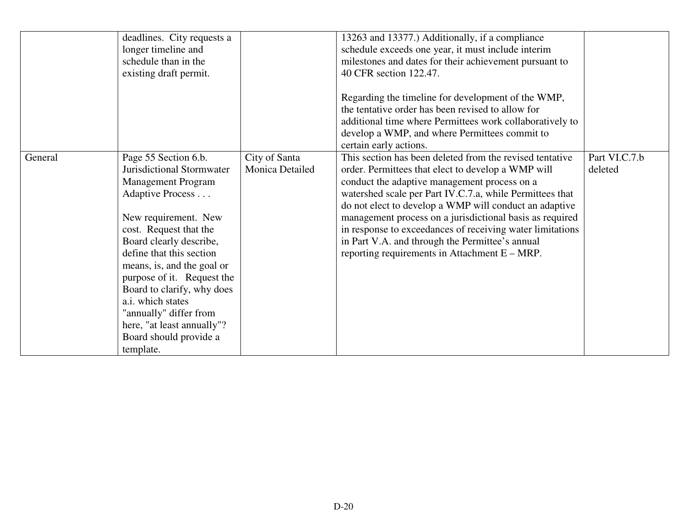|         | deadlines. City requests a<br>longer timeline and<br>schedule than in the<br>existing draft permit.                                                                                                                                                                                                                                                                                                                              |                                         | 13263 and 13377.) Additionally, if a compliance<br>schedule exceeds one year, it must include interim<br>milestones and dates for their achievement pursuant to<br>40 CFR section 122.47.<br>Regarding the timeline for development of the WMP,<br>the tentative order has been revised to allow for<br>additional time where Permittees work collaboratively to<br>develop a WMP, and where Permittees commit to<br>certain early actions.                                                                          |                          |
|---------|----------------------------------------------------------------------------------------------------------------------------------------------------------------------------------------------------------------------------------------------------------------------------------------------------------------------------------------------------------------------------------------------------------------------------------|-----------------------------------------|----------------------------------------------------------------------------------------------------------------------------------------------------------------------------------------------------------------------------------------------------------------------------------------------------------------------------------------------------------------------------------------------------------------------------------------------------------------------------------------------------------------------|--------------------------|
| General | Page 55 Section 6.b.<br><b>Jurisdictional Stormwater</b><br><b>Management Program</b><br>Adaptive Process<br>New requirement. New<br>cost. Request that the<br>Board clearly describe,<br>define that this section<br>means, is, and the goal or<br>purpose of it. Request the<br>Board to clarify, why does<br>a.i. which states<br>"annually" differ from<br>here, "at least annually"?<br>Board should provide a<br>template. | City of Santa<br><b>Monica Detailed</b> | This section has been deleted from the revised tentative<br>order. Permittees that elect to develop a WMP will<br>conduct the adaptive management process on a<br>watershed scale per Part IV.C.7.a, while Permittees that<br>do not elect to develop a WMP will conduct an adaptive<br>management process on a jurisdictional basis as required<br>in response to exceedances of receiving water limitations<br>in Part V.A. and through the Permittee's annual<br>reporting requirements in Attachment $E - MRP$ . | Part VI.C.7.b<br>deleted |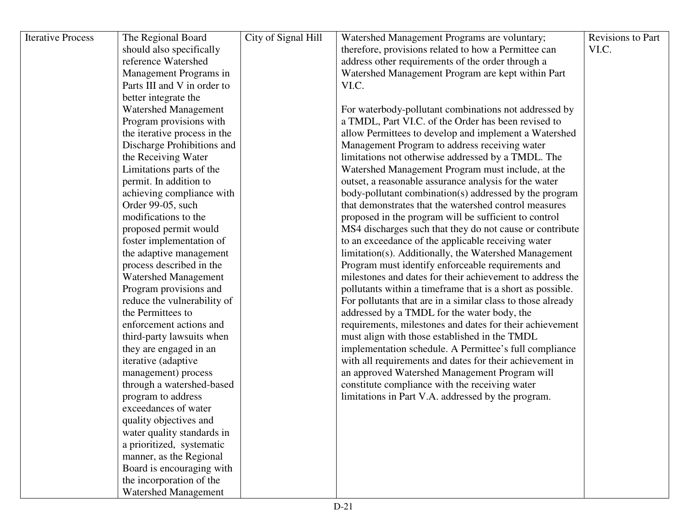| <b>Iterative Process</b> | The Regional Board           | City of Signal Hill | Watershed Management Programs are voluntary;                | Revisions to Part |
|--------------------------|------------------------------|---------------------|-------------------------------------------------------------|-------------------|
|                          | should also specifically     |                     | therefore, provisions related to how a Permittee can        | VI.C.             |
|                          | reference Watershed          |                     | address other requirements of the order through a           |                   |
|                          | Management Programs in       |                     | Watershed Management Program are kept within Part           |                   |
|                          | Parts III and V in order to  |                     | VI.C.                                                       |                   |
|                          | better integrate the         |                     |                                                             |                   |
|                          | <b>Watershed Management</b>  |                     | For waterbody-pollutant combinations not addressed by       |                   |
|                          | Program provisions with      |                     | a TMDL, Part VI.C. of the Order has been revised to         |                   |
|                          | the iterative process in the |                     | allow Permittees to develop and implement a Watershed       |                   |
|                          | Discharge Prohibitions and   |                     | Management Program to address receiving water               |                   |
|                          | the Receiving Water          |                     | limitations not otherwise addressed by a TMDL. The          |                   |
|                          | Limitations parts of the     |                     | Watershed Management Program must include, at the           |                   |
|                          | permit. In addition to       |                     | outset, a reasonable assurance analysis for the water       |                   |
|                          | achieving compliance with    |                     | body-pollutant combination(s) addressed by the program      |                   |
|                          | Order 99-05, such            |                     | that demonstrates that the watershed control measures       |                   |
|                          | modifications to the         |                     | proposed in the program will be sufficient to control       |                   |
|                          | proposed permit would        |                     | MS4 discharges such that they do not cause or contribute    |                   |
|                          | foster implementation of     |                     | to an exceedance of the applicable receiving water          |                   |
|                          | the adaptive management      |                     | limitation(s). Additionally, the Watershed Management       |                   |
|                          | process described in the     |                     | Program must identify enforceable requirements and          |                   |
|                          | <b>Watershed Management</b>  |                     | milestones and dates for their achievement to address the   |                   |
|                          | Program provisions and       |                     | pollutants within a timeframe that is a short as possible.  |                   |
|                          | reduce the vulnerability of  |                     | For pollutants that are in a similar class to those already |                   |
|                          | the Permittees to            |                     | addressed by a TMDL for the water body, the                 |                   |
|                          | enforcement actions and      |                     | requirements, milestones and dates for their achievement    |                   |
|                          | third-party lawsuits when    |                     | must align with those established in the TMDL               |                   |
|                          | they are engaged in an       |                     | implementation schedule. A Permittee's full compliance      |                   |
|                          | iterative (adaptive          |                     | with all requirements and dates for their achievement in    |                   |
|                          | management) process          |                     | an approved Watershed Management Program will               |                   |
|                          | through a watershed-based    |                     | constitute compliance with the receiving water              |                   |
|                          | program to address           |                     | limitations in Part V.A. addressed by the program.          |                   |
|                          | exceedances of water         |                     |                                                             |                   |
|                          | quality objectives and       |                     |                                                             |                   |
|                          | water quality standards in   |                     |                                                             |                   |
|                          | a prioritized, systematic    |                     |                                                             |                   |
|                          | manner, as the Regional      |                     |                                                             |                   |
|                          | Board is encouraging with    |                     |                                                             |                   |
|                          | the incorporation of the     |                     |                                                             |                   |
|                          | <b>Watershed Management</b>  |                     |                                                             |                   |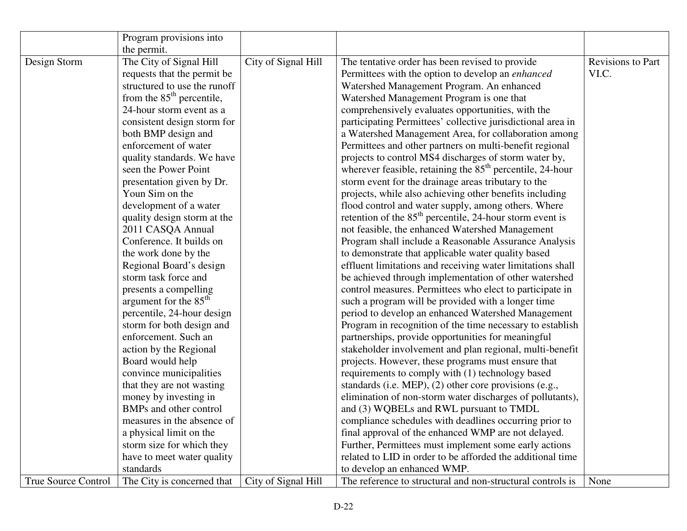|                     | Program provisions into           |                     |                                                                       |                   |
|---------------------|-----------------------------------|---------------------|-----------------------------------------------------------------------|-------------------|
|                     | the permit.                       |                     |                                                                       |                   |
| Design Storm        | The City of Signal Hill           | City of Signal Hill | The tentative order has been revised to provide                       | Revisions to Part |
|                     | requests that the permit be       |                     | Permittees with the option to develop an <i>enhanced</i>              | VI.C.             |
|                     | structured to use the runoff      |                     | Watershed Management Program. An enhanced                             |                   |
|                     | from the $85th$ percentile,       |                     | Watershed Management Program is one that                              |                   |
|                     | 24-hour storm event as a          |                     | comprehensively evaluates opportunities, with the                     |                   |
|                     | consistent design storm for       |                     | participating Permittees' collective jurisdictional area in           |                   |
|                     | both BMP design and               |                     | a Watershed Management Area, for collaboration among                  |                   |
|                     | enforcement of water              |                     | Permittees and other partners on multi-benefit regional               |                   |
|                     | quality standards. We have        |                     | projects to control MS4 discharges of storm water by,                 |                   |
|                     | seen the Power Point              |                     | wherever feasible, retaining the 85 <sup>th</sup> percentile, 24-hour |                   |
|                     | presentation given by Dr.         |                     | storm event for the drainage areas tributary to the                   |                   |
|                     | Youn Sim on the                   |                     | projects, while also achieving other benefits including               |                   |
|                     | development of a water            |                     | flood control and water supply, among others. Where                   |                   |
|                     | quality design storm at the       |                     | retention of the $85th$ percentile, 24-hour storm event is            |                   |
|                     | 2011 CASQA Annual                 |                     | not feasible, the enhanced Watershed Management                       |                   |
|                     | Conference. It builds on          |                     | Program shall include a Reasonable Assurance Analysis                 |                   |
|                     | the work done by the              |                     | to demonstrate that applicable water quality based                    |                   |
|                     | Regional Board's design           |                     | effluent limitations and receiving water limitations shall            |                   |
|                     | storm task force and              |                     | be achieved through implementation of other watershed                 |                   |
|                     | presents a compelling             |                     | control measures. Permittees who elect to participate in              |                   |
|                     | argument for the 85 <sup>th</sup> |                     | such a program will be provided with a longer time                    |                   |
|                     | percentile, 24-hour design        |                     | period to develop an enhanced Watershed Management                    |                   |
|                     | storm for both design and         |                     | Program in recognition of the time necessary to establish             |                   |
|                     | enforcement. Such an              |                     | partnerships, provide opportunities for meaningful                    |                   |
|                     | action by the Regional            |                     | stakeholder involvement and plan regional, multi-benefit              |                   |
|                     | Board would help                  |                     | projects. However, these programs must ensure that                    |                   |
|                     | convince municipalities           |                     | requirements to comply with (1) technology based                      |                   |
|                     | that they are not wasting         |                     | standards (i.e. MEP), (2) other core provisions (e.g.,                |                   |
|                     | money by investing in             |                     | elimination of non-storm water discharges of pollutants),             |                   |
|                     | BMPs and other control            |                     | and (3) WQBELs and RWL pursuant to TMDL                               |                   |
|                     | measures in the absence of        |                     | compliance schedules with deadlines occurring prior to                |                   |
|                     | a physical limit on the           |                     | final approval of the enhanced WMP are not delayed.                   |                   |
|                     | storm size for which they         |                     | Further, Permittees must implement some early actions                 |                   |
|                     | have to meet water quality        |                     | related to LID in order to be afforded the additional time            |                   |
|                     | standards                         |                     | to develop an enhanced WMP.                                           |                   |
| True Source Control | The City is concerned that        | City of Signal Hill | The reference to structural and non-structural controls is            | None              |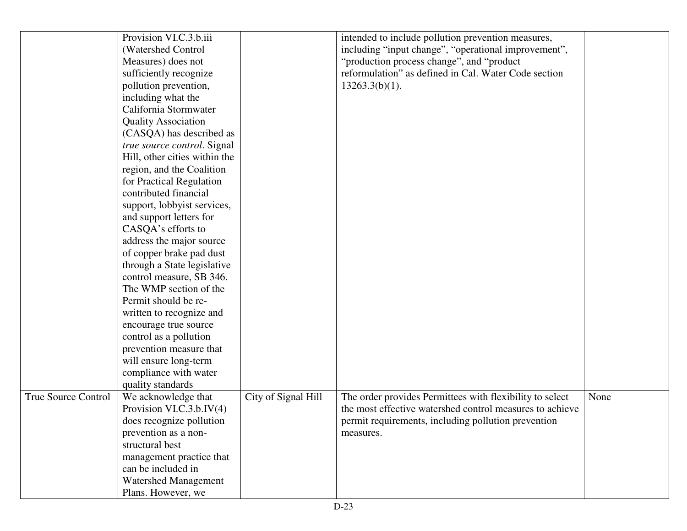|                            | Provision VI.C.3.b.iii        |                     | intended to include pollution prevention measures,       |      |
|----------------------------|-------------------------------|---------------------|----------------------------------------------------------|------|
|                            | (Watershed Control            |                     | including "input change", "operational improvement",     |      |
|                            | Measures) does not            |                     | "production process change", and "product                |      |
|                            | sufficiently recognize        |                     | reformulation" as defined in Cal. Water Code section     |      |
|                            | pollution prevention,         |                     | $13263.3(b)(1)$ .                                        |      |
|                            | including what the            |                     |                                                          |      |
|                            | California Stormwater         |                     |                                                          |      |
|                            | <b>Quality Association</b>    |                     |                                                          |      |
|                            | (CASQA) has described as      |                     |                                                          |      |
|                            | true source control. Signal   |                     |                                                          |      |
|                            | Hill, other cities within the |                     |                                                          |      |
|                            | region, and the Coalition     |                     |                                                          |      |
|                            | for Practical Regulation      |                     |                                                          |      |
|                            | contributed financial         |                     |                                                          |      |
|                            | support, lobbyist services,   |                     |                                                          |      |
|                            | and support letters for       |                     |                                                          |      |
|                            | CASQA's efforts to            |                     |                                                          |      |
|                            | address the major source      |                     |                                                          |      |
|                            | of copper brake pad dust      |                     |                                                          |      |
|                            | through a State legislative   |                     |                                                          |      |
|                            | control measure, SB 346.      |                     |                                                          |      |
|                            | The WMP section of the        |                     |                                                          |      |
|                            | Permit should be re-          |                     |                                                          |      |
|                            | written to recognize and      |                     |                                                          |      |
|                            | encourage true source         |                     |                                                          |      |
|                            | control as a pollution        |                     |                                                          |      |
|                            | prevention measure that       |                     |                                                          |      |
|                            | will ensure long-term         |                     |                                                          |      |
|                            | compliance with water         |                     |                                                          |      |
|                            | quality standards             |                     |                                                          |      |
| <b>True Source Control</b> | We acknowledge that           | City of Signal Hill | The order provides Permittees with flexibility to select | None |
|                            | Provision VI.C.3.b.IV $(4)$   |                     | the most effective watershed control measures to achieve |      |
|                            | does recognize pollution      |                     | permit requirements, including pollution prevention      |      |
|                            | prevention as a non-          |                     | measures.                                                |      |
|                            | structural best               |                     |                                                          |      |
|                            | management practice that      |                     |                                                          |      |
|                            | can be included in            |                     |                                                          |      |
|                            | <b>Watershed Management</b>   |                     |                                                          |      |
|                            | Plans. However, we            |                     |                                                          |      |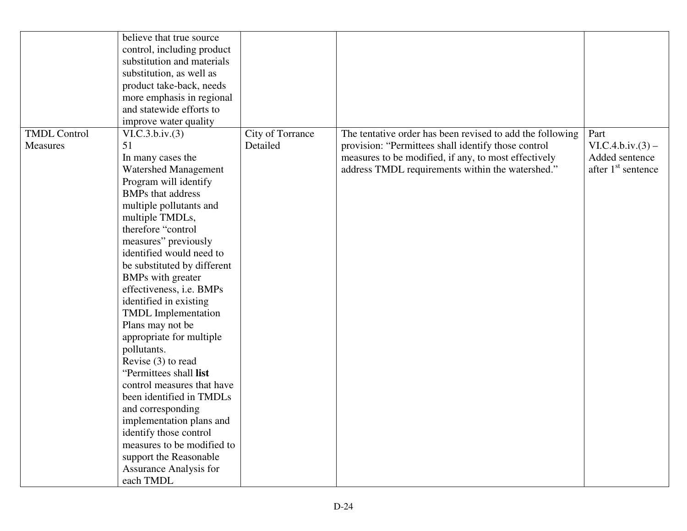|                     | believe that true source    |                  |                                                           |                                |
|---------------------|-----------------------------|------------------|-----------------------------------------------------------|--------------------------------|
|                     | control, including product  |                  |                                                           |                                |
|                     | substitution and materials  |                  |                                                           |                                |
|                     | substitution, as well as    |                  |                                                           |                                |
|                     | product take-back, needs    |                  |                                                           |                                |
|                     | more emphasis in regional   |                  |                                                           |                                |
|                     | and statewide efforts to    |                  |                                                           |                                |
|                     | improve water quality       |                  |                                                           |                                |
| <b>TMDL Control</b> | VI.C.3.b.iv.(3)             | City of Torrance | The tentative order has been revised to add the following | Part                           |
| Measures            | 51                          | Detailed         | provision: "Permittees shall identify those control       | $VI.C.4.b.iv.(3) -$            |
|                     | In many cases the           |                  | measures to be modified, if any, to most effectively      | Added sentence                 |
|                     | <b>Watershed Management</b> |                  | address TMDL requirements within the watershed."          | after 1 <sup>st</sup> sentence |
|                     | Program will identify       |                  |                                                           |                                |
|                     | <b>BMPs</b> that address    |                  |                                                           |                                |
|                     | multiple pollutants and     |                  |                                                           |                                |
|                     | multiple TMDLs,             |                  |                                                           |                                |
|                     | therefore "control          |                  |                                                           |                                |
|                     | measures" previously        |                  |                                                           |                                |
|                     | identified would need to    |                  |                                                           |                                |
|                     | be substituted by different |                  |                                                           |                                |
|                     | <b>BMPs</b> with greater    |                  |                                                           |                                |
|                     | effectiveness, i.e. BMPs    |                  |                                                           |                                |
|                     | identified in existing      |                  |                                                           |                                |
|                     | <b>TMDL</b> Implementation  |                  |                                                           |                                |
|                     | Plans may not be            |                  |                                                           |                                |
|                     | appropriate for multiple    |                  |                                                           |                                |
|                     | pollutants.                 |                  |                                                           |                                |
|                     | Revise (3) to read          |                  |                                                           |                                |
|                     | "Permittees shall list      |                  |                                                           |                                |
|                     | control measures that have  |                  |                                                           |                                |
|                     | been identified in TMDLs    |                  |                                                           |                                |
|                     | and corresponding           |                  |                                                           |                                |
|                     | implementation plans and    |                  |                                                           |                                |
|                     | identify those control      |                  |                                                           |                                |
|                     | measures to be modified to  |                  |                                                           |                                |
|                     | support the Reasonable      |                  |                                                           |                                |
|                     | Assurance Analysis for      |                  |                                                           |                                |
|                     | each TMDL                   |                  |                                                           |                                |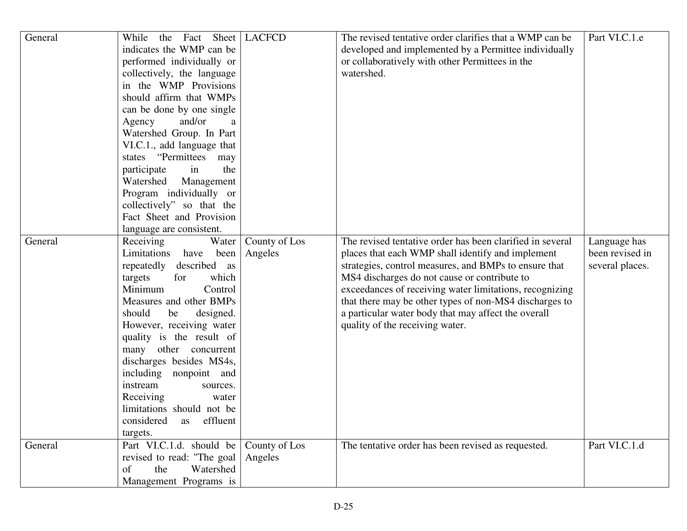| General | Sheet<br>the Fact<br>While<br>indicates the WMP can be<br>performed individually or<br>collectively, the language<br>in the WMP Provisions<br>should affirm that WMPs<br>can be done by one single<br>and/or<br>Agency<br>a<br>Watershed Group. In Part<br>VI.C.1., add language that<br>states "Permittees may<br>participate<br>the<br>in<br>Watershed<br>Management<br>Program individually or<br>collectively" so that the<br>Fact Sheet and Provision<br>language are consistent. | <b>LACFCD</b>            | The revised tentative order clarifies that a WMP can be<br>developed and implemented by a Permittee individually<br>or collaboratively with other Permittees in the<br>watershed.                                                                                                                                                                                                                                                      | Part VI.C.1.e                                      |
|---------|----------------------------------------------------------------------------------------------------------------------------------------------------------------------------------------------------------------------------------------------------------------------------------------------------------------------------------------------------------------------------------------------------------------------------------------------------------------------------------------|--------------------------|----------------------------------------------------------------------------------------------------------------------------------------------------------------------------------------------------------------------------------------------------------------------------------------------------------------------------------------------------------------------------------------------------------------------------------------|----------------------------------------------------|
| General | Receiving<br>Water<br>Limitations<br>have<br>been<br>repeatedly<br>described as<br>which<br>for<br>targets<br>Minimum<br>Control<br>Measures and other BMPs<br>should<br>be<br>designed.<br>However, receiving water<br>quality is the result of<br>many other concurrent<br>discharges besides MS4s,<br>including nonpoint and<br>instream<br>sources.<br>Receiving<br>water<br>limitations should not be<br>considered<br>effluent<br>as<br>targets.                                 | County of Los<br>Angeles | The revised tentative order has been clarified in several<br>places that each WMP shall identify and implement<br>strategies, control measures, and BMPs to ensure that<br>MS4 discharges do not cause or contribute to<br>exceedances of receiving water limitations, recognizing<br>that there may be other types of non-MS4 discharges to<br>a particular water body that may affect the overall<br>quality of the receiving water. | Language has<br>been revised in<br>several places. |
| General | Part VI.C.1.d. should be<br>revised to read: "The goal<br>Watershed<br>the<br>of<br>Management Programs is                                                                                                                                                                                                                                                                                                                                                                             | County of Los<br>Angeles | The tentative order has been revised as requested.                                                                                                                                                                                                                                                                                                                                                                                     | Part VI.C.1.d                                      |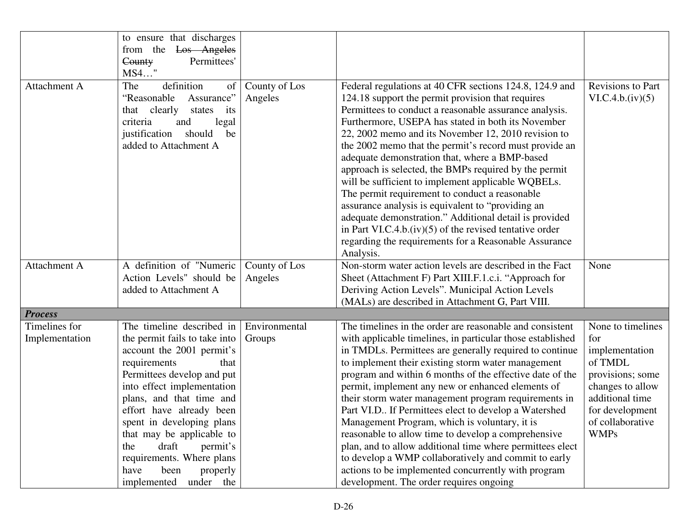|                | to ensure that discharges     |               |                                                            |                          |
|----------------|-------------------------------|---------------|------------------------------------------------------------|--------------------------|
|                | from the<br>Los Angeles       |               |                                                            |                          |
|                | Permittees'<br>County         |               |                                                            |                          |
|                | MS4"                          |               |                                                            |                          |
| Attachment A   | definition<br>The<br>of       | County of Los | Federal regulations at 40 CFR sections 124.8, 124.9 and    | <b>Revisions to Part</b> |
|                | "Reasonable<br>Assurance"     | Angeles       | 124.18 support the permit provision that requires          | VI.C.4.b.(iv)(5)         |
|                | that clearly<br>states<br>its |               | Permittees to conduct a reasonable assurance analysis.     |                          |
|                | criteria<br>and<br>legal      |               | Furthermore, USEPA has stated in both its November         |                          |
|                | should<br>justification<br>be |               | 22, 2002 memo and its November 12, 2010 revision to        |                          |
|                | added to Attachment A         |               | the 2002 memo that the permit's record must provide an     |                          |
|                |                               |               | adequate demonstration that, where a BMP-based             |                          |
|                |                               |               | approach is selected, the BMPs required by the permit      |                          |
|                |                               |               | will be sufficient to implement applicable WQBELs.         |                          |
|                |                               |               | The permit requirement to conduct a reasonable             |                          |
|                |                               |               | assurance analysis is equivalent to "providing an          |                          |
|                |                               |               | adequate demonstration." Additional detail is provided     |                          |
|                |                               |               | in Part VI.C.4.b. $(iv)(5)$ of the revised tentative order |                          |
|                |                               |               | regarding the requirements for a Reasonable Assurance      |                          |
|                |                               |               | Analysis.                                                  |                          |
| Attachment A   | A definition of "Numeric      | County of Los | Non-storm water action levels are described in the Fact    | None                     |
|                | Action Levels" should be      | Angeles       | Sheet (Attachment F) Part XIII.F.1.c.i. "Approach for      |                          |
|                | added to Attachment A         |               | Deriving Action Levels". Municipal Action Levels           |                          |
|                |                               |               | (MALs) are described in Attachment G, Part VIII.           |                          |
| <b>Process</b> |                               |               |                                                            |                          |
| Timelines for  | The timeline described in     | Environmental | The timelines in the order are reasonable and consistent   | None to timelines        |
| Implementation | the permit fails to take into | Groups        | with applicable timelines, in particular those established | for                      |
|                | account the 2001 permit's     |               | in TMDLs. Permittees are generally required to continue    | implementation           |
|                | requirements<br>that          |               | to implement their existing storm water management         | of TMDL                  |
|                | Permittees develop and put    |               | program and within 6 months of the effective date of the   | provisions; some         |
|                | into effect implementation    |               | permit, implement any new or enhanced elements of          | changes to allow         |
|                | plans, and that time and      |               | their storm water management program requirements in       | additional time          |
|                | effort have already been      |               | Part VI.D If Permittees elect to develop a Watershed       | for development          |
|                | spent in developing plans     |               | Management Program, which is voluntary, it is              | of collaborative         |
|                | that may be applicable to     |               | reasonable to allow time to develop a comprehensive        | <b>WMPs</b>              |
|                | draft<br>permit's<br>the      |               | plan, and to allow additional time where permittees elect  |                          |
|                | requirements. Where plans     |               | to develop a WMP collaboratively and commit to early       |                          |
|                | have<br>been<br>properly      |               | actions to be implemented concurrently with program        |                          |
|                | implemented<br>under the      |               | development. The order requires ongoing                    |                          |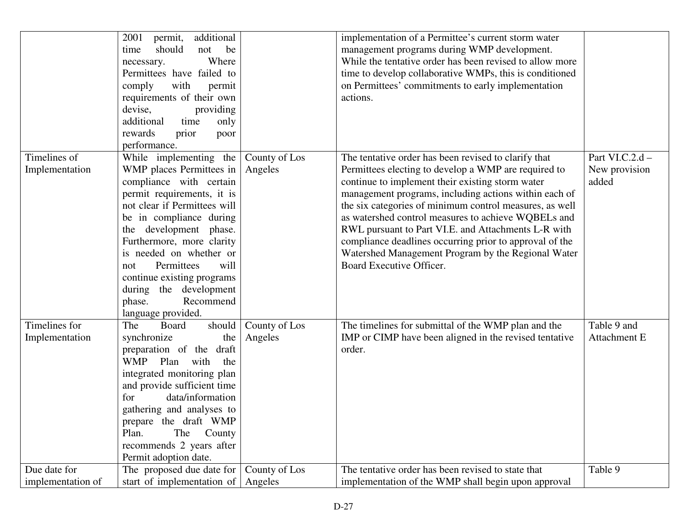|                                   | additional<br>2001<br>permit,<br>should<br>not<br>time<br>be<br>Where<br>necessary.<br>Permittees have failed to<br>comply<br>with<br>permit<br>requirements of their own<br>devise,<br>providing<br>additional<br>time<br>only<br>rewards<br>prior<br>poor<br>performance.                                                                                                                |                          | implementation of a Permittee's current storm water<br>management programs during WMP development.<br>While the tentative order has been revised to allow more<br>time to develop collaborative WMPs, this is conditioned<br>on Permittees' commitments to early implementation<br>actions.                                                                                                                                                                                                                                                     |                                           |
|-----------------------------------|--------------------------------------------------------------------------------------------------------------------------------------------------------------------------------------------------------------------------------------------------------------------------------------------------------------------------------------------------------------------------------------------|--------------------------|-------------------------------------------------------------------------------------------------------------------------------------------------------------------------------------------------------------------------------------------------------------------------------------------------------------------------------------------------------------------------------------------------------------------------------------------------------------------------------------------------------------------------------------------------|-------------------------------------------|
| Timelines of<br>Implementation    | While implementing the<br>WMP places Permittees in<br>compliance with certain<br>permit requirements, it is<br>not clear if Permittees will<br>be in compliance during<br>the development phase.<br>Furthermore, more clarity<br>is needed on whether or<br>will<br>Permittees<br>not<br>continue existing programs<br>during the development<br>Recommend<br>phase.<br>language provided. | County of Los<br>Angeles | The tentative order has been revised to clarify that<br>Permittees electing to develop a WMP are required to<br>continue to implement their existing storm water<br>management programs, including actions within each of<br>the six categories of minimum control measures, as well<br>as watershed control measures to achieve WQBELs and<br>RWL pursuant to Part VI.E. and Attachments L-R with<br>compliance deadlines occurring prior to approval of the<br>Watershed Management Program by the Regional Water<br>Board Executive Officer. | Part VI.C.2.d -<br>New provision<br>added |
| Timelines for<br>Implementation   | Board<br>should<br>The<br>synchronize<br>the<br>preparation of the draft<br>WMP Plan with<br>the<br>integrated monitoring plan<br>and provide sufficient time<br>for<br>data/information<br>gathering and analyses to<br>prepare the draft WMP<br>The<br>Plan.<br>County<br>recommends 2 years after<br>Permit adoption date.                                                              | County of Los<br>Angeles | The timelines for submittal of the WMP plan and the<br>IMP or CIMP have been aligned in the revised tentative<br>order.                                                                                                                                                                                                                                                                                                                                                                                                                         | Table 9 and<br>Attachment E               |
| Due date for<br>implementation of | The proposed due date for<br>start of implementation of                                                                                                                                                                                                                                                                                                                                    | County of Los<br>Angeles | The tentative order has been revised to state that<br>implementation of the WMP shall begin upon approval                                                                                                                                                                                                                                                                                                                                                                                                                                       | Table 9                                   |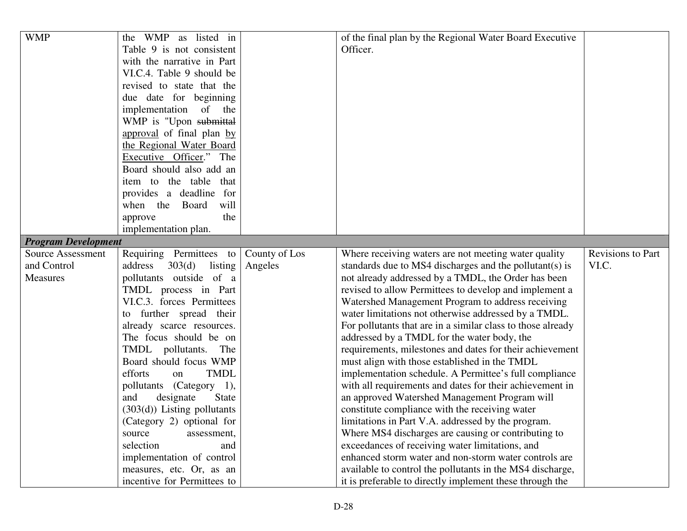| <b>WMP</b>                 | the WMP as listed in             |               | of the final plan by the Regional Water Board Executive     |                   |
|----------------------------|----------------------------------|---------------|-------------------------------------------------------------|-------------------|
|                            | Table 9 is not consistent        |               | Officer.                                                    |                   |
|                            | with the narrative in Part       |               |                                                             |                   |
|                            | VI.C.4. Table 9 should be        |               |                                                             |                   |
|                            | revised to state that the        |               |                                                             |                   |
|                            | due date for beginning           |               |                                                             |                   |
|                            | implementation of the            |               |                                                             |                   |
|                            | WMP is "Upon submittal           |               |                                                             |                   |
|                            | approval of final plan by        |               |                                                             |                   |
|                            | the Regional Water Board         |               |                                                             |                   |
|                            | Executive Officer." The          |               |                                                             |                   |
|                            | Board should also add an         |               |                                                             |                   |
|                            | item to the table that           |               |                                                             |                   |
|                            | provides a deadline for          |               |                                                             |                   |
|                            | when the Board<br>will           |               |                                                             |                   |
|                            | the<br>approve                   |               |                                                             |                   |
|                            | implementation plan.             |               |                                                             |                   |
| <b>Program Development</b> |                                  |               |                                                             |                   |
| <b>Source Assessment</b>   | Requiring Permittees to          | County of Los | Where receiving waters are not meeting water quality        | Revisions to Part |
| and Control                | address $303(d)$ listing         | Angeles       | standards due to MS4 discharges and the pollutant(s) is     | VI.C.             |
| Measures                   | pollutants outside of a          |               | not already addressed by a TMDL, the Order has been         |                   |
|                            | TMDL process in Part             |               | revised to allow Permittees to develop and implement a      |                   |
|                            | VI.C.3. forces Permittees        |               | Watershed Management Program to address receiving           |                   |
|                            | to further spread their          |               | water limitations not otherwise addressed by a TMDL.        |                   |
|                            | already scarce resources.        |               | For pollutants that are in a similar class to those already |                   |
|                            | The focus should be on           |               | addressed by a TMDL for the water body, the                 |                   |
|                            | TMDL pollutants. The             |               | requirements, milestones and dates for their achievement    |                   |
|                            | Board should focus WMP           |               | must align with those established in the TMDL               |                   |
|                            | <b>TMDL</b><br>efforts<br>on     |               | implementation schedule. A Permittee's full compliance      |                   |
|                            | pollutants (Category 1),         |               | with all requirements and dates for their achievement in    |                   |
|                            | <b>State</b><br>and<br>designate |               | an approved Watershed Management Program will               |                   |
|                            | $(303(d))$ Listing pollutants    |               | constitute compliance with the receiving water              |                   |
|                            | (Category 2) optional for        |               | limitations in Part V.A. addressed by the program.          |                   |
|                            | source<br>assessment,            |               | Where MS4 discharges are causing or contributing to         |                   |
|                            | selection<br>and                 |               | exceedances of receiving water limitations, and             |                   |
|                            | implementation of control        |               | enhanced storm water and non-storm water controls are       |                   |
|                            | measures, etc. Or, as an         |               | available to control the pollutants in the MS4 discharge,   |                   |
|                            | incentive for Permittees to      |               | it is preferable to directly implement these through the    |                   |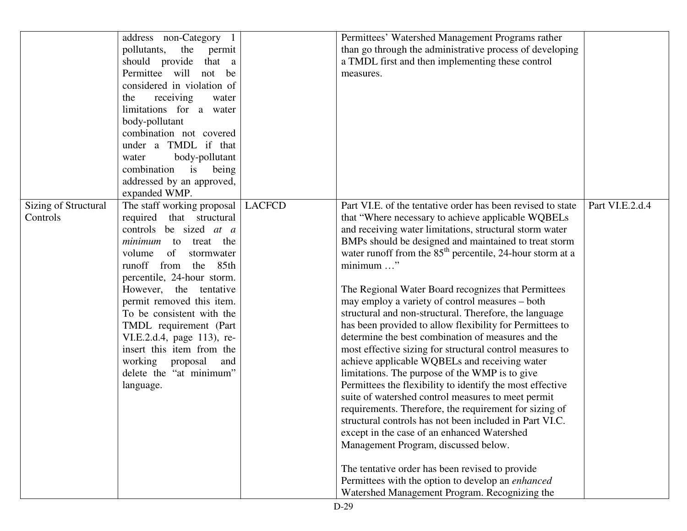|                      | address non-Category 1      |               | Permittees' Watershed Management Programs rather            |                 |
|----------------------|-----------------------------|---------------|-------------------------------------------------------------|-----------------|
|                      | pollutants, the permit      |               | than go through the administrative process of developing    |                 |
|                      | should provide<br>that a    |               | a TMDL first and then implementing these control            |                 |
|                      | Permittee will not be       |               | measures.                                                   |                 |
|                      | considered in violation of  |               |                                                             |                 |
|                      | receiving<br>the<br>water   |               |                                                             |                 |
|                      | limitations for a water     |               |                                                             |                 |
|                      | body-pollutant              |               |                                                             |                 |
|                      | combination not covered     |               |                                                             |                 |
|                      | under a TMDL if that        |               |                                                             |                 |
|                      | body-pollutant<br>water     |               |                                                             |                 |
|                      | combination is being        |               |                                                             |                 |
|                      | addressed by an approved,   |               |                                                             |                 |
|                      | expanded WMP.               |               |                                                             |                 |
| Sizing of Structural | The staff working proposal  | <b>LACFCD</b> | Part VI.E. of the tentative order has been revised to state | Part VI.E.2.d.4 |
| Controls             | required that structural    |               | that "Where necessary to achieve applicable WQBELs          |                 |
|                      | controls be sized at a      |               | and receiving water limitations, structural storm water     |                 |
|                      | <i>minimum</i> to treat the |               | BMPs should be designed and maintained to treat storm       |                 |
|                      | volume of<br>stormwater     |               | water runoff from the $85th$ percentile, 24-hour storm at a |                 |
|                      | runoff from the 85th        |               | minimum "                                                   |                 |
|                      | percentile, 24-hour storm.  |               |                                                             |                 |
|                      | However, the tentative      |               | The Regional Water Board recognizes that Permittees         |                 |
|                      | permit removed this item.   |               | may employ a variety of control measures – both             |                 |
|                      | To be consistent with the   |               | structural and non-structural. Therefore, the language      |                 |
|                      | TMDL requirement (Part      |               | has been provided to allow flexibility for Permittees to    |                 |
|                      | VI.E.2.d.4, page 113), re-  |               | determine the best combination of measures and the          |                 |
|                      | insert this item from the   |               | most effective sizing for structural control measures to    |                 |
|                      | working proposal<br>and     |               | achieve applicable WQBELs and receiving water               |                 |
|                      | delete the "at minimum"     |               | limitations. The purpose of the WMP is to give              |                 |
|                      | language.                   |               | Permittees the flexibility to identify the most effective   |                 |
|                      |                             |               | suite of watershed control measures to meet permit          |                 |
|                      |                             |               | requirements. Therefore, the requirement for sizing of      |                 |
|                      |                             |               | structural controls has not been included in Part VI.C.     |                 |
|                      |                             |               | except in the case of an enhanced Watershed                 |                 |
|                      |                             |               | Management Program, discussed below.                        |                 |
|                      |                             |               |                                                             |                 |
|                      |                             |               | The tentative order has been revised to provide             |                 |
|                      |                             |               | Permittees with the option to develop an enhanced           |                 |
|                      |                             |               | Watershed Management Program. Recognizing the               |                 |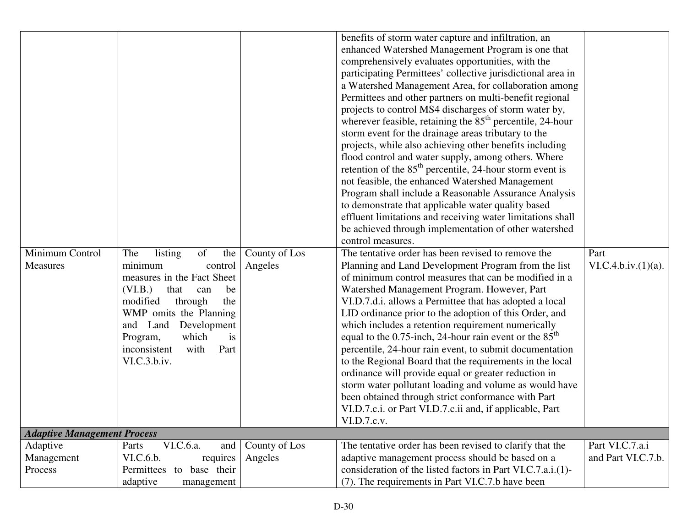| Minimum Control<br>Measures        | of<br>listing<br>The<br>the<br>minimum<br>control<br>measures in the Fact Sheet<br>(VI.B.)<br>that<br>be<br>can<br>modified<br>through<br>the<br>WMP omits the Planning<br>and Land Development<br>Program,<br>which<br>is | County of Los<br>Angeles | benefits of storm water capture and infiltration, an<br>enhanced Watershed Management Program is one that<br>comprehensively evaluates opportunities, with the<br>participating Permittees' collective jurisdictional area in<br>a Watershed Management Area, for collaboration among<br>Permittees and other partners on multi-benefit regional<br>projects to control MS4 discharges of storm water by,<br>wherever feasible, retaining the $85th$ percentile, 24-hour<br>storm event for the drainage areas tributary to the<br>projects, while also achieving other benefits including<br>flood control and water supply, among others. Where<br>retention of the $85th$ percentile, 24-hour storm event is<br>not feasible, the enhanced Watershed Management<br>Program shall include a Reasonable Assurance Analysis<br>to demonstrate that applicable water quality based<br>effluent limitations and receiving water limitations shall<br>be achieved through implementation of other watershed<br>control measures.<br>The tentative order has been revised to remove the<br>Planning and Land Development Program from the list<br>of minimum control measures that can be modified in a<br>Watershed Management Program. However, Part<br>VI.D.7.d.i. allows a Permittee that has adopted a local<br>LID ordinance prior to the adoption of this Order, and<br>which includes a retention requirement numerically<br>equal to the 0.75-inch, 24-hour rain event or the $85th$ | Part<br>VI.C.4.b.iv.(1)(a). |  |
|------------------------------------|----------------------------------------------------------------------------------------------------------------------------------------------------------------------------------------------------------------------------|--------------------------|-------------------------------------------------------------------------------------------------------------------------------------------------------------------------------------------------------------------------------------------------------------------------------------------------------------------------------------------------------------------------------------------------------------------------------------------------------------------------------------------------------------------------------------------------------------------------------------------------------------------------------------------------------------------------------------------------------------------------------------------------------------------------------------------------------------------------------------------------------------------------------------------------------------------------------------------------------------------------------------------------------------------------------------------------------------------------------------------------------------------------------------------------------------------------------------------------------------------------------------------------------------------------------------------------------------------------------------------------------------------------------------------------------------------------------------------------------------------------------------------|-----------------------------|--|
|                                    | inconsistent<br>with<br>Part                                                                                                                                                                                               |                          | percentile, 24-hour rain event, to submit documentation                                                                                                                                                                                                                                                                                                                                                                                                                                                                                                                                                                                                                                                                                                                                                                                                                                                                                                                                                                                                                                                                                                                                                                                                                                                                                                                                                                                                                                   |                             |  |
|                                    | VI.C.3.b.iv.                                                                                                                                                                                                               |                          | to the Regional Board that the requirements in the local<br>ordinance will provide equal or greater reduction in<br>storm water pollutant loading and volume as would have<br>been obtained through strict conformance with Part<br>VI.D.7.c.i. or Part VI.D.7.c.ii and, if applicable, Part<br>VI.D.7.c.v.                                                                                                                                                                                                                                                                                                                                                                                                                                                                                                                                                                                                                                                                                                                                                                                                                                                                                                                                                                                                                                                                                                                                                                               |                             |  |
| <b>Adaptive Management Process</b> |                                                                                                                                                                                                                            |                          |                                                                                                                                                                                                                                                                                                                                                                                                                                                                                                                                                                                                                                                                                                                                                                                                                                                                                                                                                                                                                                                                                                                                                                                                                                                                                                                                                                                                                                                                                           |                             |  |
| Adaptive                           | VI.C.6.a.<br>Parts<br>and                                                                                                                                                                                                  | County of Los            | The tentative order has been revised to clarify that the                                                                                                                                                                                                                                                                                                                                                                                                                                                                                                                                                                                                                                                                                                                                                                                                                                                                                                                                                                                                                                                                                                                                                                                                                                                                                                                                                                                                                                  | Part VI.C.7.a.i             |  |
| Management<br>Process              | VI.C.6.b.<br>requires<br>to base their<br>Permittees<br>adaptive<br>management                                                                                                                                             | Angeles                  | adaptive management process should be based on a<br>consideration of the listed factors in Part VI.C.7.a.i.(1)-<br>(7). The requirements in Part VI.C.7.b have been                                                                                                                                                                                                                                                                                                                                                                                                                                                                                                                                                                                                                                                                                                                                                                                                                                                                                                                                                                                                                                                                                                                                                                                                                                                                                                                       | and Part VI.C.7.b.          |  |
|                                    |                                                                                                                                                                                                                            |                          |                                                                                                                                                                                                                                                                                                                                                                                                                                                                                                                                                                                                                                                                                                                                                                                                                                                                                                                                                                                                                                                                                                                                                                                                                                                                                                                                                                                                                                                                                           |                             |  |